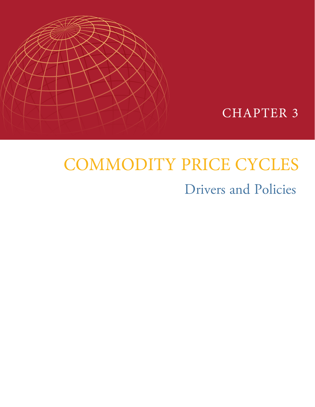



# COMMODITY PRICE CYCLES

# Drivers and Policies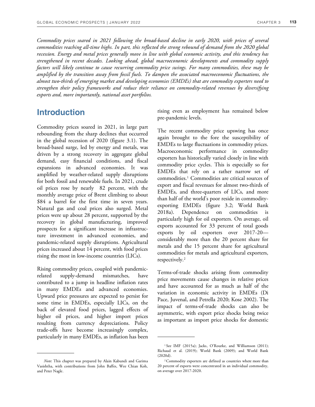*Commodity prices soared in 2021 following the broad-based decline in early 2020, with prices of several*  commodities reaching all-time highs. In part, this reflected the strong rebound of demand from the 2020 global *recession. Energy and metal prices generally move in line with global economic activity, and this tendency has strengthened in recent decades. Looking ahead, global macroeconomic developments and commodity supply factors will likely continue to cause recurring commodity price swings. For many commodities, these may be amplified by the transition away from fossil fuels. To dampen the associated macroeconomic fluctuations, the almost two-thirds of emerging market and developing economies (EMDEs) that are commodity exporters need to strengthen their policy frameworks and reduce their reliance on commodity-related revenues by diversifying exports and, more importantly, national asset portfolios.* 

# **Introduction**

Commodity prices soared in 2021, in large part rebounding from the sharp declines that occurred in the global recession of 2020 (figure 3.1). The broad-based surge, led by energy and metals, was driven by a strong recovery in aggregate global demand, easy financial conditions, and fiscal expansions in advanced economies. It was amplified by weather-related supply disruptions for both fossil and renewable fuels. In 2021, crude oil prices rose by nearly 82 percent, with the monthly average price of Brent climbing to about \$84 a barrel for the first time in seven years. Natural gas and coal prices also surged. Metal prices were up about 28 percent, supported by the recovery in global manufacturing, improved prospects for a significant increase in infrastructure investment in advanced economies, and pandemic-related supply disruptions. Agricultural prices increased about 14 percent, with food prices rising the most in low-income countries (LICs).

Rising commodity prices, coupled with pandemicrelated supply-demand mismatches, have contributed to a jump in headline inflation rates in many EMDEs and advanced economies. Upward price pressures are expected to persist for some time in EMDEs, especially LICs, on the back of elevated food prices, lagged effects of higher oil prices, and higher import prices resulting from currency depreciations. Policy trade-offs have become increasingly complex, particularly in many EMDEs, as inflation has been

*Note*: This chapter was prepared by Alain Kabundi and Garima Vasishtha, with contributions from John Baffes, Wee Chian Koh, and Peter Nagle.

rising even as employment has remained below pre-pandemic levels.

The recent commodity price upswing has once again brought to the fore the susceptibility of EMDEs to large fluctuations in commodity prices. Macroeconomic performance in commodity exporters has historically varied closely in line with commodity price cycles. This is especially so for EMDEs that rely on a rather narrow set of commodities.<sup>1</sup> Commodities are critical sources of export and fiscal revenues for almost two-thirds of EMDEs, and three-quarters of LICs, and more than half of the world's poor reside in commodityexporting EMDEs (figure 3.2; World Bank 2018a). Dependence on commodities is particularly high for oil exporters. On average, oil exports accounted for 33 percent of total goods exports by oil exporters over 2017-20 considerably more than the 20 percent share for metals and the 15 percent share for agricultural commodities for metals and agricultural exporters, respectively.<sup>2</sup>

Terms-of-trade shocks arising from commodity price movements cause changes in relative prices and have accounted for as much as half of the variation in economic activity in EMDEs (Di Pace, Juvenal, and Petrella 2020; Kose 2002). The impact of terms-of-trade shocks can also be asymmetric, with export price shocks being twice as important as import price shocks for domestic

<sup>&</sup>lt;sup>1</sup>See IMF (2015a); Jacks, O'Rourke, and Williamson (2011); Richaud et al. (2019); World Bank (2009); and World Bank (2020d).

<sup>2</sup>Commodity exporters are defined as countries where more than 20 percent of exports were concentrated in an individual commodity, on average over 2017-2020.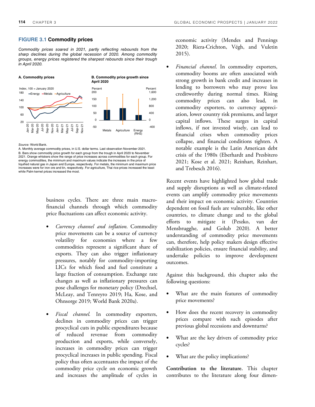# **FIGURE 3.1 Commodity prices**

*Commodity prices soared in 2021, partly reflecting rebounds from the sharp declines during the global recession of 2020. Among commodity groups, energy prices registered the sharpest rebounds since their trough in April 2020.* 



*Source:* World Bank.

A. Monthly average commodity prices, in U.S. dollar terms. Last observation November 2021. B. Bars show commodity price growth for each group from the trough in April 2020 to November 2021. Orange whiskers show the range of price increases across commodities for each group. For energy commodities, the minimum and maximum values indicate the increases in the price of liquified natural gas in Japan and Europe, respectively. For metals, the minimum and maximum price increases were for iron ore and tin, respectively. For agriculture, Thai rice prices increased the least while Palm kernel prices increased the most.

> business cycles. There are three main macrofinancial channels through which commodity price fluctuations can affect economic activity.

- *Currency channel and inflation*. Commodity price movements can be a source of currency volatility for economies where a few commodities represent a significant share of exports. They can also trigger inflationary pressures, notably for commodity-importing LICs for which food and fuel constitute a large fraction of consumption. Exchange rate changes as well as inflationary pressures can pose challenges for monetary policy (Drechsel, McLeay, and Tenreyro 2019; Ha, Kose, and Ohnsorge 2019; World Bank 2020a).
- *Fiscal channel.* In commodity exporters, declines in commodity prices can trigger procyclical cuts in public expenditures because of reduced revenue from commodity production and exports, while conversely, increases in commodity prices can trigger procyclical increases in public spending. Fiscal policy thus often accentuates the impact of the commodity price cycle on economic growth and increases the amplitude of cycles in

economic activity (Mendes and Pennings 2020; Riera-Crichton, Végh, and Vuletin 2015).

• *Financial channel*. In commodity exporters, commodity booms are often associated with strong growth in bank credit and increases in lending to borrowers who may prove less creditworthy during normal times. Rising commodity prices can also lead, in commodity exporters, to currency appreciation, lower country risk premiums, and larger capital inflows. These surges in capital inflows, if not invested wisely, can lead to financial crises when commodity prices collapse, and financial conditions tighten. A notable example is the Latin American debt crisis of the 1980s (Eberhardt and Presbitero 2021; Kose et al. 2021; Reinhart, Reinhart, and Trebesch 2016).

Recent events have highlighted how global trade and supply disruptions as well as climate-related events can amplify commodity price movements and their impact on economic activity. Countries dependent on fossil fuels are vulnerable, like other countries, to climate change and to the global efforts to mitigate it (Peszko, van der Mensbrugghe, and Golub 2020). A better understanding of commodity price movements can, therefore, help policy makers design effective stabilization policies, ensure financial stability, and undertake policies to improve development outcomes.

Against this background, this chapter asks the following questions:

- What are the main features of commodity price movements?
- How does the recent recovery in commodity prices compare with such episodes after previous global recessions and downturns?
- What are the key drivers of commodity price cycles?
- What are the policy implications?

**Contribution to the literature.** This chapter contributes to the literature along four dimen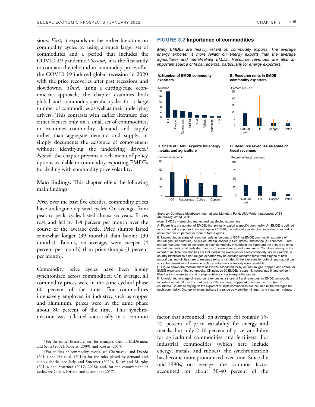sions. *First*, it expands on the earlier literature on commodity cycles by using a much larger set of commodities and a period that includes the COVID-19 pandemic.<sup>3</sup> *Second,* it is the first study to compare the rebound in commodity prices after the COVID-19-induced global recession in 2020 with the price recoveries after past recessions and slowdowns. *Third,* using a cutting-edge econometric approach, the chapter examines both global and commodity-specific cycles for a large number of commodities as well as their underlying drivers. This contrasts with earlier literature that either focuses only on a small set of commodities, or examines commodity demand and supply rather than aggregate demand and supply, or simply documents the existence of comovement without identifying the underlying drivers.<sup>4</sup> *Fourth*, the chapter presents a rich menu of policy options available to commodity-exporting EMDEs for dealing with commodity price volatility.

**Main findings.** This chapter offers the following main findings.

*First*, over the past five decades, commodity prices have undergone repeated cycles. On average, from peak to peak, cycles lasted almost six years. Prices rose and fell by 1-4 percent per month over the course of the average cycle. Price slumps lasted somewhat longer (39 months) than booms (30 months). Booms, on average, were steeper (4 percent per month) than price slumps (1 percent per month).

Commodity price cycles have been highly synchronized across commodities. On average, all commodity prices were in the same cyclical phase 60 percent of the time. For commodities intensively employed in industry, such as copper and aluminum, prices were in the same phase about 80 percent of the time. This synchronization was reflected statistically in a common

### **FIGURE 3.2 Importance of commodities**

*Many EMDEs are heavily reliant on commodity exports. The average energy exporter is more reliant on energy exports than the average agriculture- and metal-reliant EMDE. Resource revenues are also an important source of fiscal receipts, particularly for energy exporters.* 

> > Natural gas

Percent of GDP

**A. Number of EMDE commodity exporters** 





**B. Resource rents in EMDE commodity exporters** 



**[C. Share of EMDE exports for energy,](https://thedocs.worldbank.org/en/doc/cb15f6d7442eadedf75bb95c4fdec1b3-0350012022/related/GEP-January-2022-Chapter3-Fig3-2.xlsx)** 

**metals, and agriculture** 



*Sources:* Comtrade (database); International Monetary Fund; UNU-Wider (database); WITS (database); World Bank.

*Note:* EMDEs = emerging market and developing economies.

A. Figure lists the number of EMDEs that primarily export a specific commodity. An EMDE is defined as a commodity exporter if, on average in 2017-20, the value of exports of an individual commodity accounted for 20 percent or more of total exports.

B. Unweighted average of resource rents as percent of GDP for EMDE commodity exporters of natural gas (13 countries), oil (44 countries), copper (14 countries), and coffee (13 countries). Total natural resource rents of exporters of each commodity included in the figure are the sum of oil rents, natural gas rents, coal rents (hard and soft), mineral rents, and forest rents. Countries relying on the export of multiple commodities are included in the averages for each commodity. As an example, a country identified as a natural gas exporter may be deriving resource rents from exports of both natural gas and oil; its share of resource rents is included in the averages for both oil and natural gas since the breakdown of resource rents by individual commodity is not available.

C. Figure shows the median share of exports accounted for by oil, natural gas, copper, and coffee for EMDE exporters of that commodity. Oil includes 20 EMDEs, copper 6, natural gas 5, and coffee 4. Blue bars show medians and orange whiskers show interquartile ranges.

D. Unweighted average of resource revenues as a share of fiscal revenues for EMDE commodity exporters of natural gas (5 countries), oil (25 countries), copper (4 countries), and coffee (5 countries). Countries relying on the export of multiple commodities are included in the averages for each commodity. Orange whiskers indicate the range between the minimum and maximum values.

factor that accounted, on average, for roughly 15- 25 percent of price variability for energy and metals, but only 2-10 percent of price variability for agricultural commodities and fertilizers. For industrial commodities (which here include energy, metals, and rubber), the synchronization has become more pronounced over time. Since the mid-1990s, on average, the common factor accounted for about 30-40 percent of the Coffe

<sup>&</sup>lt;sup>3</sup> For the earlier literature, see, for example, Cashin, McDermott, and Scott (2002); Roberts (2009); and Rossen (2015).

<sup>4</sup>For studies of commodity cycles, see Charnavoki and Dolado (2014) and Ha et al. (2019); for the roles played by demand and supply shocks, see Jacks and Stuermer (2020), Kilian and Murphy (2014), and Stuermer (2017, 2018); and, for the comovement of cycles, see Chiaie, Ferrara, and Giannone (2017).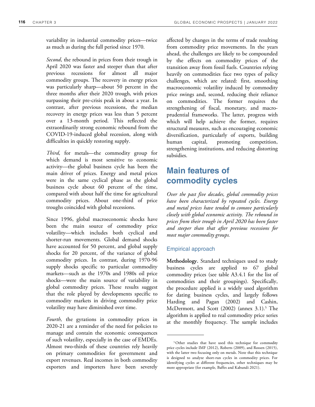variability in industrial commodity prices—twice as much as during the full period since 1970.

*Second*, the rebound in prices from their trough in April 2020 was faster and steeper than that after previous recessions for almost all major commodity groups. The recovery in energy prices was particularly sharp—about 50 percent in the three months after their 2020 trough, with prices surpassing their pre-crisis peak in about a year. In contrast, after previous recessions, the median recovery in energy prices was less than 5 percent over a 13-month period. This reflected the extraordinarily strong economic rebound from the COVID-19-induced global recession, along with difficulties in quickly restoring supply.

*Third*, for metals—the commodity group for which demand is most sensitive to economic activity—the global business cycle has been the main driver of prices. Energy and metal prices were in the same cyclical phase as the global business cycle about 60 percent of the time, compared with about half the time for agricultural commodity prices. About one-third of price troughs coincided with global recessions.

Since 1996, global macroeconomic shocks have been the main source of commodity price volatility—which includes both cyclical and shorter-run movements. Global demand shocks have accounted for 50 percent, and global supply shocks for 20 percent, of the variance of global commodity prices. In contrast, during 1970-96 supply shocks specific to particular commodity markets—such as the 1970s and 1980s oil price shocks—were the main source of variability in global commodity prices. These results suggest that the role played by developments specific to commodity markets in driving commodity price volatility may have diminished over time.

*Fourth,* the gyrations in commodity prices in 2020-21 are a reminder of the need for policies to manage and contain the economic consequences of such volatility, especially in the case of EMDEs. Almost two-thirds of these countries rely heavily on primary commodities for government and export revenues. Real incomes in both commodity exporters and importers have been severely affected by changes in the terms of trade resulting from commodity price movements. In the years ahead, the challenges are likely to be compounded by the effects on commodity prices of the transition away from fossil fuels. Countries relying heavily on commodities face two types of policy challenges, which are related: first, smoothing macroeconomic volatility induced by commodity price swings and, second, reducing their reliance on commodities. The former requires the strengthening of fiscal, monetary, and macroprudential frameworks. The latter, progress with which will help achieve the former, requires structural measures, such as encouraging economic diversification, particularly of exports, building human capital, promoting competition, strengthening institutions, and reducing distorting subsidies.

# **Main features of commodity cycles**

*Over the past five decades, global commodity prices have been characterized by repeated cycles. Energy and metal prices have tended to comove particularly closely with global economic activity. The rebound in prices from their trough in April 2020 has been faster and steeper than that after previous recessions for most major commodity groups.* 

# Empirical approach

**Methodology.** Standard techniques used to study business cycles are applied to 67 global commodity prices (see table A3.4.1 for the list of commodities and their groupings). Specifically, the procedure applied is a widely used algorithm for dating business cycles, and largely follows Harding and Pagan (2002) and Cashin, McDermott, and Scott (2002) (annex 3.1).<sup>5</sup> The algorithm is applied to real commodity price series at the monthly frequency. The sample includes

<sup>5</sup>Other studies that have used this technique for commodity price cycles include IMF (2012), Roberts (2009), and Rossen (2015), with the latter two focusing only on metals. Note that this technique is designed to analyze short-run cycles in commodity prices. For identifying cycles at different frequencies, other techniques may be more appropriate (for example, Baffes and Kabundi 2021).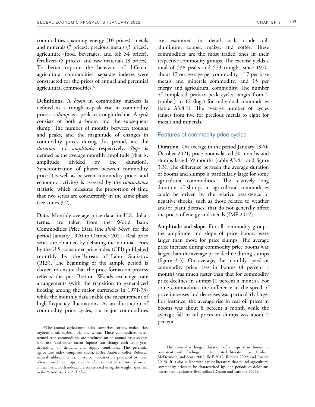commodities spanning energy (10 prices), metals and minerals (7 prices), precious metals (3 prices), agriculture (food, beverages, and oil; 34 prices), fertilizers (5 prices), and raw materials (8 prices). To better capture the behavior of different agricultural commodities, separate indexes were constructed for the prices of annual and perennial agricultural commodities.<sup>6</sup>

**Definitions.** A *boom* in commodity markets is defined as a trough-to-peak rise in commodity prices; a *slump* as a peak-to-trough decline. A *cycle* consists of both a boom and the subsequent slump. The number of months between troughs and peaks, and the magnitude of changes in commodity prices during this period, are the *duration* and *amplitude*, respectively. *Slope* is defined as the average monthly amplitude (that is, amplitude divided by the duration). Synchronization of phases between commodity prices (as well as between commodity prices and economic activity) is assessed by the *concordance* statistic, which measures the proportion of time that two series are concurrently in the same phase (see annex 3.2).

**Data.** Monthly average price data, in U.S. dollar terms, are taken from the World Bank Commodities Price Data (the *Pink Sheet*) for the period January 1970 to October 2021. Real price series are obtained by deflating the nominal series by the U.S. consumer price index (CPI) monthly by the Bureau of Labor Statistics (BLS). The beginning of the sample period is chosen to ensure that the price formation process reflects the post-Bretton Woods exchange rate arrangements (with the transition to generalized floating among the major currencies in 1971-73) while the monthly data enable the measurement of high-frequency fluctuations. As an illustration of commodity price cycles, six major commodities

are examined in detail*—*coal, crude oil, aluminum, copper, maize, and coffee. These commodities are the most traded ones in their respective commodity groups. The exercise yields a total of 538 peaks and 573 troughs since 1970, about 17 on average per commodity—17 per base metals and minerals commodity, and 15 per energy and agricultural commodity. The number of completed peak-to-peak cycles ranges from 2 (rubber) to 12 (logs) for individual commodities (table  $A3.4.1$ ). The average number of cycles ranges from five for precious metals to eight for metals and minerals.

# Features of commodity price cycles

**Duration**. On average in the period January 1970- October 2021, price booms lasted 30 months and slumps lasted 39 months (table A3.4.1 and figure 3.3). The difference between the average duration of booms and slumps is particularly large for some agricultural commodities.<sup>7</sup> The relatively long duration of slumps in agricultural commodities could be driven by the relative persistence of negative shocks, such as those related to weather and/or plant diseases, that do not generally affect the prices of energy and metals (IMF 2012).

**Amplitude and slope.** For all commodity groups, the amplitude and slope of price booms were larger than those for price slumps. The average price increase during commodity price booms was larger than the average price decline during slumps (figure 3.3). On average, the monthly speed of commodity price rises in booms (4 percent a month) was much faster than that for commodity price declines in slumps (1 percent a month). For some commodities the difference in the speed of price increases and decreases was particularly large. For instance, the average rise in real oil prices in booms was about 8 percent a month while the average fall in oil prices in slumps was about 2 percent.

<sup>6</sup>The annual agriculture index comprises cotton, maize, rice, soybean meal, soybean oil, and wheat. These commodities, often termed crop commodities, are produced on an annual basis so that land use (and other factor inputs) can change each crop year, depending on demand and supply conditions. The perennial agriculture index comprises cocoa, coffee Arabica, coffee Robusta, natural rubber, and tea. These commodities are produced by trees, often termed tree crops, and therefore cannot be substituted on an annual basis. Both indexes are constructed using the weights specified in the World Bank's *Pink Sheet*.

<sup>7</sup>The somewhat longer duration of slumps than booms is consistent with findings in the related literature (see Cashin, McDermott, and Scott 2002; IMF 2012; Roberts 2009; and Rossen 2015). It is also in line with earlier literature that found agricultural commodity prices to be characterized by long periods of doldrums interrupted by shorter-lived spikes (Deaton and Laroque 1992).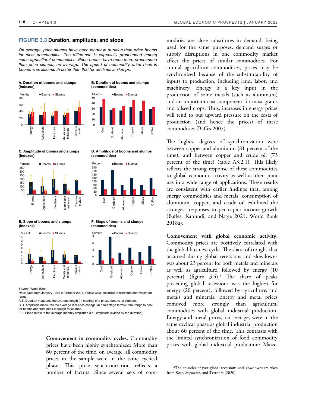# **FIGURE 3.3 Duration, amplitude, and slope**

*On average, price slumps have been longer in duration than price booms for most commodities. The difference is especially pronounced among some agricultural commodities. Price booms have been more pronounced than price slumps, on average. The speed of commodity price rises in booms was also much faster than that for declines in slumps.* 







Coal Crude oil Aluminum **Copper** Maize Coffee

**B. Duration of booms and slumps** 

Months **Booms** Slumps

**(commodities)** 

**D. Amplitude of booms and slumps (commodities)** 



**F. Slope of booms and slumps** 

Copper Maize Coffee

**E. Slope of booms and slumps (indexes)**



*Source*: World Bank.

*Note*: Data from January 1970 to October 2021. Yellow whiskers indicate minimum and maximum range.

A.B. Duration measures the average length (in months) of a phase (booms or slumps).

C.D. Amplitude measures the average real price change (in percentage terms) from trough to peak for booms and from peak to trough for slumps.

E.F. Slope refers to the average monthly amplitude (i.e., amplitude divided by the duration).

**Comovement in commodity cycles.** Commodity prices have been highly synchronized: More than 60 percent of the time, on average, all commodity prices in the sample were in the same cyclical phase. This price synchronization reflects a number of factors. Since several sets of commodities are close substitutes in demand, being used for the same purposes, demand surges or supply disruptions in one commodity market affect the prices of similar commodities. For annual agriculture commodities, prices may be synchronized because of the substitutability of inputs to production, including land, labor, and machinery. Energy is a key input in the production of some metals (such as aluminum) and an important cost component for most grains and oilseed crops. Thus, increases in energy prices will tend to put upward pressure on the costs of production (and hence the prices) of these commodities (Baffes 2007).

The highest degrees of synchronization were between copper and aluminum (81 percent of the time), and between copper and crude oil (73 percent of the time) (table  $A3.2.1$ ). This likely reflects the strong response of these commodities to global economic activity as well as their joint use in a wide range of applications. These results are consistent with earlier findings that, among energy commodities and metals, consumption of aluminum, copper, and crude oil exhibited the strongest responses to per capita income growth (Baffes, Kabundi, and Nagle 2021; World Bank 2018a).

**Comovement with global economic activity.** Commodity prices are positively correlated with the global business cycle. The share of troughs that occurred during global recessions and slowdowns was about 23 percent for both metals and minerals as well as agriculture, followed by energy (10 percent) (figure 3.4).<sup>8</sup> The share of peaks preceding global recessions was the highest for energy (20 percent), followed by agriculture, and metals and minerals. Energy and metal prices comoved more strongly than agricultural commodities with global industrial production. Energy and metal prices, on average, were in the same cyclical phase as global industrial production about 60 percent of the time. This contrasts with the limited synchronization of food commodity prices with global industrial production: Maize,

<sup>&</sup>lt;sup>8</sup>The episodes of past global recessions and slowdowns are taken from Kose, Sugawara, and Terrones (2020).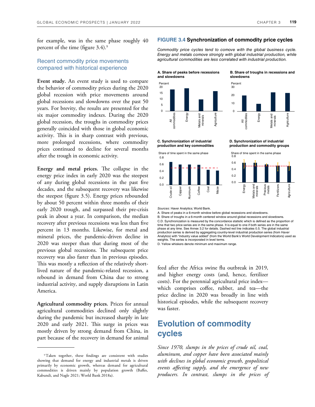for example, was in the same phase roughly 40 percent of the time (figure 3.4).<sup>9</sup>

# Recent commodity price movements compared with historical experience

**Event study.** An event study is used to compare the behavior of commodity prices during the 2020 global recession with price movements around global recessions and slowdowns over the past 50 years. For brevity, the results are presented for the six major commodity indexes. During the 2020 global recession, the troughs in commodity prices generally coincided with those in global economic activity. This is in sharp contrast with previous, more prolonged recessions, where commodity prices continued to decline for several months after the trough in economic activity.

**Energy and metal prices.** The collapse in the energy price index in early 2020 was the steepest of any during global recessions in the past five decades, and the subsequent recovery was likewise the steepest (figure 3.5). Energy prices rebounded by about 50 percent within three months of their early 2020 trough, and surpassed their pre-crisis peak in about a year. In comparison, the median recovery after previous recessions was less than five percent in 13 months. Likewise, for metal and mineral prices, the pandemic-driven decline in 2020 was steeper than that during most of the previous global recessions. The subsequent price recovery was also faster than in previous episodes. This was mostly a reflection of the relatively shortlived nature of the pandemic-related recession, a rebound in demand from China due to strong industrial activity, and supply disruptions in Latin America.

**Agricultural commodity prices.** Prices for annual agricultural commodities declined only slightly during the pandemic but increased sharply in late 2020 and early 2021. This surge in prices was mostly driven by strong demand from China, in part because of the recovery in demand for animal

# **FIGURE 3.4 Synchronization of commodity price cycles**

*Commodity price cycles tend to comove with the global business cycle. Energy and metals comove strongly with global industrial production, while agricultural commodities are less correlated with industrial production.* 



**C. Synchronization of industrial production and key commodities** 





**D. Synchronization of industrial production and commodity groups** 





*Sources*: Haver Analytics; World Bank.

A. Share of peaks in a 6-month window before global recessions and slowdowns. B. Share of troughs in a 6-month centered window around global recessions and slowdowns. C.D. Synchronization is measured by the concordance statistic which is defined as the proportion of time that two price series are in the same phase. It is equal to one if both series are in the same phase at any time. See Annex 3.2 for details. Dashed red line indicates 0.5. The global industrial production series is derived by aggregating country-level industrial production series (from Haver Analytics) with "industry value added" (from the World Bank's World Development Indicators) used as weights. The series is incorporated in level terms.

D. Yellow whiskers denote minimum and maximum range.

feed after the Africa swine flu outbreak in 2019, and higher energy costs (and, hence, fertilizer costs). For the perennial agricultural price index which comprises coffee, rubber, and tea—the price decline in 2020 was broadly in line with historical episodes, while the subsequent recovery was faster.

# **Evolution of commodity cycles**

*Since 1970, slumps in the prices of crude oil, coal, aluminum, and copper have been associated mainly with declines in global economic growth, geopolitical events affecting supply, and the emergence of new producers. In contrast, slumps in the prices of* 

<sup>9</sup>Taken together, these findings are consistent with studies showing that demand for energy and industrial metals is driven primarily by economic growth, whereas demand for agricultural commodities is driven mainly by population growth (Baffes, Kabundi, and Nagle 2021; World Bank 2018a).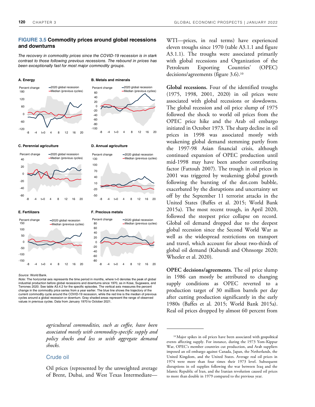# **FIGURE 3.5 Commodity prices around global recessions and downturns**

*The recovery in commodity prices since the COVID-19 recession is in stark contrast to those following previous recessions. The rebound in prices has been exceptionally fast for most major commodity groups.* 



### **C. Perennial agriculture C. Annual agriculture**







### **E. Fertilizers F. Precious metals**



### *Source*: World Bank.

*Note*: The horizontal axis represents the time period in months, where t=0 denotes the peak of global industrial production before global recessions and downturns since 1970, as in Kose, Sugawara, and Terrones 2020. See table A3.4.2 for the specific episodes. The vertical axis measures the percent change in the commodity price series from a year earlier. The blue line shows the trajectory of the current commodity cycle around the COVID-19 recession, while the red line is the median of previous cycles around a global recession or downturn. Gray shaded areas represent the range of observed values in previous cycles. Data from January 1970 to October 2021.

> *agricultural commodities, such as coffee, have been associated mostly with commodity-specific supply and policy shocks and less so with aggregate demand shocks.*

# Crude oil

WTI—prices, in real terms) have experienced eleven troughs since 1970 (table A3.1.1 and figure A3.1.1). The troughs were associated primarily with global recessions and Organization of the Petroleum Exporting Countries' (OPEC) decisions/agreements (figure 3.6).<sup>10</sup>

**Global recessions.** Four of the identified troughs (1975, 1998, 2001, 2020) in oil prices were associated with global recessions or slowdowns. The global recession and oil price slump of 1975 followed the shock to world oil prices from the OPEC price hike and the Arab oil embargo initiated in October 1973. The sharp decline in oil prices in 1998 was associated mostly with weakening global demand stemming partly from the 1997-98 Asian financial crisis, although continued expansion of OPEC production until mid-1998 may have been another contributing factor (Fattouh 2007). The trough in oil prices in 2001 was triggered by weakening global growth following the bursting of the dot.com bubble, exacerbated by the disruptions and uncertainty set off by the September 11 terrorist attacks in the United States (Baffes et al. 2015; World Bank 2015a). The most recent trough, in April 2020, followed the steepest price collapse on record. Global oil demand dropped due to the deepest global recession since the Second World War as well as the widespread restrictions on transport and travel, which account for about two-thirds of global oil demand (Kabundi and Ohnsorge 2020; Wheeler et al. 2020).

**OPEC decisions/agreements.** The oil price slump in 1986 can mostly be attributed to changing supply conditions as OPEC reverted to a production target of 30 million barrels per day after cutting production significantly in the early 1980s (Baffes et al. 2015; World Bank 2015a). Real oil prices dropped by almost 60 percent from

Oil prices (represented by the unweighted average of Brent, Dubai, and West Texas Intermediate—

<sup>&</sup>lt;sup>10</sup> Major spikes in oil prices have been associated with geopolitical events affecting supply. For instance, during the 1973 Yom-Kippur War, OPEC's member countries cut production, and Arab suppliers imposed an oil embargo against Canada, Japan, the Netherlands, the United Kingdom, and the United States. Average real oil prices in 1974 were more than four times their 1973 level. Subsequent disruptions in oil supplies following the war between Iraq and the Islamic Republic of Iran, and the Iranian revolution caused oil prices to more than double in 1979 compared to the previous year.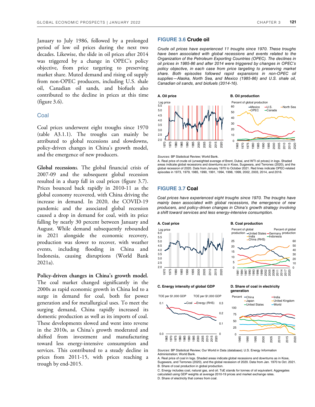January to July 1986, followed by a prolonged period of low oil prices during the next two decades. Likewise, the slide in oil prices after 2014 was triggered by a change in OPEC's policy objective, from price targeting to preserving market share. Muted demand and rising oil supply from non-OPEC producers, including U.S. shale oil, Canadian oil sands, and biofuels also contributed to the decline in prices at this time (figure 3.6).

# **Coal**

Coal prices underwent eight troughs since 1970 (table A3.1.1). The troughs can mainly be attributed to global recessions and slowdowns, policy-driven changes in China's growth model, and the emergence of new producers.

**Global recession**s*.* The global financial crisis of 2007-09 and the subsequent global recession resulted in a sharp fall in coal prices (figure 3.7). Prices bounced back rapidly in 2010-11 as the global economy recovered, with China driving the increase in demand. In 2020, the COVID-19 pandemic and the associated global recession caused a drop in demand for coal, with its price falling by nearly 30 percent between January and August. While demand subsequently rebounded in 2021 alongside the economic recovery, production was slower to recover, with weather events, including flooding in China and Indonesia, causing disruptions (World Bank 2021a).

**Policy-driven changes in China's growth model***.* The coal market changed significantly in the 2000s as rapid economic growth in China led to a surge in demand for coal, both for power generation and for metallurgical uses. To meet the surging demand, China rapidly increased its domestic production as well as its imports of coal. These developments slowed and went into reverse in the 2010s, as China's growth moderated and shifted from investment and manufacturing toward less energy-intensive consumption and services. This contributed to a steady decline in prices from 2011-15, with prices reaching a trough by end-2015.

# **FIGURE 3.6 Crude oil**

*Crude oil prices have experienced 11 troughs since 1970. These troughs have been associated with global recessions and events related to the Organization of the Petroleum Exporting Countries (OPEC). The declines in oil prices in 1985-86 and after 2014 were triggered by changes in OPEC's policy objective, in each case from price targeting to preserving market share. Both episodes followed rapid expansions in non-OPEC oil supplies—Alaska, North Sea, and Mexico (1985-86) and U.S. shale oil, Canadian oil sands, and biofuels (2014-16).* 



*Sources:* BP Statistical Review; World Bank.

A. Real price of crude oil (unweighted average of Brent, Dubai, and WTI oil prices) in logs. Shaded areas indicate global recessions and downturns as in Kose, Sugawara, and Terrones (2020), and the global recession of 2020. Data from January 1970 to October 2021. Red lines indicate OPEC-related episodes in 1973, 1979, 1985, 1990, 1991, 1994, 1998, 1999, 2002, 2003, 2014, and 2016.

### **FIGURE 3.7 Coal**

*Coal prices have experienced eight troughs since 1970. The troughs have mainly been associated with global recessions, the emergence of new producers, and policy-driven changes in China's growth strategy involving a shift toward services and less energy-intensive consumption.* 



0 0.1 0.2 0.3 0.0 0.1 1965 1970 1975 1980 1985 1990 1995 2000 2005 2010 2015 2020 -Coal -Energy (RHS) TOE per \$1,000 GDP TOE per \$1,000 GDP

# **generation**



*Sources*: BP Statistical Review; Our World in Data (database); U.S. Energy Information Administration; World Bank.

A. Real price of coal in logs. Shaded areas indicate global recessions and downturns as in Kose, Sugawara, and Terrones (2020), and the global recession of 2020. Data from Jan. 1970 to Oct. 2021. B. Share of coal production in global production.

C. Energy includes coal, natural gas, and oil. ToE stands for tonnes of oil equivalent. Aggregates calculated using GDP weights at average 2010-19 prices and market exchange rates. D. Share of electricity that comes from coal.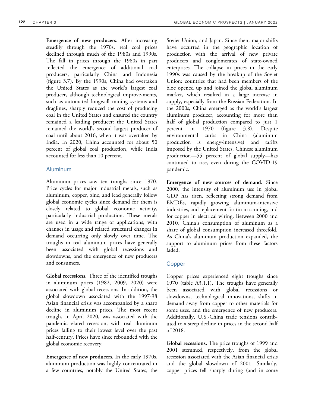**Emergence of new producers.** After increasing steadily through the 1970s, real coal prices declined through much of the 1980s and 1990s. The fall in prices through the 1980s in part reflected the emergence of additional coal producers, particularly China and Indonesia (figure 3.7). By the 1990s, China had overtaken the United States as the world's largest coal producer, although technological improve-ments, such as automated longwall mining systems and draglines, sharply reduced the cost of producing coal in the United States and ensured the country remained a leading producer: the United States remained the world's second largest producer of coal until about 2016, when it was overtaken by India. In 2020, China accounted for about 50 percent of global coal production, while India accounted for less than 10 percent.

# Aluminum

Aluminum prices saw ten troughs since 1970. Price cycles for major industrial metals, such as aluminum, copper, zinc, and lead generally follow global economic cycles since demand for them is closely related to global economic activity, particularly industrial production. These metals are used in a wide range of applications, with changes in usage and related structural changes in demand occurring only slowly over time. The troughs in real aluminum prices have generally been associated with global recessions and slowdowns, and the emergence of new producers and consumers.

**Global recessions.** Three of the identified troughs in aluminum prices (1982, 2009, 2020) were associated with global recessions. In addition, the global slowdown associated with the 1997-98 Asian financial crisis was accompanied by a sharp decline in aluminum prices. The most recent trough, in April 2020, was associated with the pandemic-related recession, with real aluminum prices falling to their lowest level over the past half-century. Prices have since rebounded with the global economic recovery.

**Emergence of new producers***.* In the early 1970s, aluminum production was highly concentrated in a few countries, notably the United States, the Soviet Union, and Japan. Since then, major shifts have occurred in the geographic location of production with the arrival of new private producers and conglomerates of state-owned enterprises. The collapse in prices in the early 1990s was caused by the breakup of the Soviet Union: countries that had been members of the bloc opened up and joined the global aluminum market, which resulted in a large increase in supply, especially from the Russian Federation. In the 2000s, China emerged as the world's largest aluminum producer, accounting for more than half of global production compared to just 1 percent in 1970 (figure 3.8). Despite environmental curbs in China (aluminum production is energy-intensive) and tariffs imposed by the United States, Chinese aluminum production—55 percent of global supply—has continued to rise, even during the COVID-19 pandemic.

**Emergence of new sources of demand***.* Since 2000, the intensity of aluminum use in global GDP has risen, reflecting strong demand from EMDEs, rapidly growing aluminum-intensive industries, and replacement for tin in canning, and for copper in electrical wiring. Between 2000 and 2010, China's consumption of aluminum as a share of global consumption increased threefold. As China's aluminum production expanded, the support to aluminum prices from these factors faded.

# Copper

Copper prices experienced eight troughs since 1970 (table A3.1.1). The troughs have generally been associated with global recessions or slowdowns, technological innovations, shifts in demand away from copper to other materials for some uses, and the emergence of new producers. Additionally, U.S.-China trade tensions contributed to a steep decline in prices in the second half of 2018.

**Global recessions.** The price troughs of 1999 and 2001 stemmed, respectively, from the global recession associated with the Asian financial crisis and the global slowdown of 2001. Similarly, copper prices fell sharply during (and in some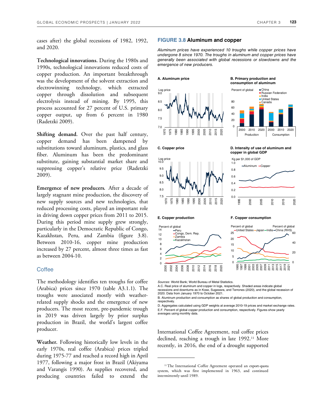cases after) the global recessions of 1982, 1992, and 2020.

**Technological innovations.** During the 1980s and 1990s, technological innovations reduced costs of copper production. An important breakthrough was the development of the solvent extraction and electrowinning technology, which extracted copper through dissolution and subsequent electrolysis instead of mining. By 1995, this process accounted for 27 percent of U.S. primary copper output, up from 6 percent in 1980 (Radetzki 2009).

**Shifting demand.** Over the past half century, copper demand has been dampened by substitutions toward aluminum, plastics, and glass fiber. Aluminum has been the predominant substitute, gaining substantial market share and suppressing copper's relative price (Radetzki 2009).

**Emergence of new producers***.* After a decade of largely stagnant mine production, the discovery of new supply sources and new technologies, that reduced processing costs, played an important role in driving down copper prices from 2011 to 2015. During this period mine supply grew strongly, particularly in the Democratic Republic of Congo, Kazakhstan, Peru, and Zambia (figure 3.8). Between 2010-16, copper mine production increased by 27 percent, almost three times as fast as between 2004-10.

# **Coffee**

The methodology identifies ten troughs for coffee (Arabica) prices since 1970 (table A3.1.1**)**. The troughs were associated mostly with weatherrelated supply shocks and the emergence of new producers. The most recent, pre-pandemic trough in 2019 was driven largely by prior surplus production in Brazil, the world's largest coffee producer.

**Weather.** Following historically low levels in the early 1970s, real coffee (Arabica) prices tripled during 1975-77 and reached a record high in April 1977, following a major frost in Brazil (Akiyama and Varangis 1990). As supplies recovered, and producing countries failed to extend the

## **FIGURE 3.8 Aluminum and copper**

*Aluminum prices have experienced 10 troughs while copper prices have undergone 8 since 1970. The troughs in aluminum and copper prices have generally been associated with global recessions or slowdowns and the emergence of new producers.* 





**C. Copper price C. Copper price C. Copper price C. Copper price C. Copper price C. Copper price C. Copy copper in global GDP** 

2000 2010 2020 2000 2010 2020 Production Consumption

**China** ■ Russian Federation India United States Canada



**E. Copper production F. Copper consumption** 



*Sources*: World Bank; World Bureau of Metal Statistics.

A.C. Real price of aluminum and copper in logs, respectively. Shaded areas indicate global recessions and downturns as in Kose, Sugawara, and Terrones (2020), and the global recession of

2020. Data from January 1970 to October 2021. B. Aluminum production and consumption as shares of global production and consumption,

respectively. D. Aggregates calculated using GDP weights at average 2010-19 prices and market exchange rates.

E.F. Percent of global copper production and consumption, respectively. Figures show yearly averages using monthly data.

International Coffee Agreement, real coffee prices declined, reaching a trough in late 1992.<sup>11</sup> More recently, in 2016, the end of a drought supported

<sup>&</sup>lt;sup>11</sup>The International Coffee Agreement operated an export-quota system, which was first implemented in 1963, and continued intermittently until 1989.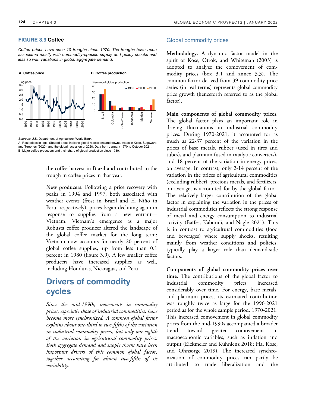# **FIGURE 3.9 Coffee**

*Coffee prices have seen 10 troughs since 1970. The troughs have been associated mostly with commodity-specific supply and policy shocks and less so with variations in global aggregate demand.*



*Sources:* U.S. Department of Agriculture; World Bank.

A. Real prices in logs. Shaded areas indicate global recessions and downturns as in Kose, Sugawara, and Terrones (2020), and the global recession of 2020. Data from January 1970 to October 2021. B. Major coffee producers and their share of global production since 1980.

> the coffee harvest in Brazil and contributed to the trough in coffee prices in that year.

**New producers.** Following a price recovery with peaks in 1994 and 1997, both associated with weather events (frost in Brazil and El Niño in Peru, respectively), prices began declining again in response to supplies from a new entrant— Vietnam. Vietnam's emergence as a major Robusta coffee producer altered the landscape of the global coffee market for the long term: Vietnam now accounts for nearly 20 percent of global coffee supplies, up from less than 0.1 percent in 1980 (figure 3.9). A few smaller coffee producers have increased supplies as well, including Honduras, Nicaragua, and Peru.

# **Drivers of commodity cycles**

*Since the mid-1990s, movements in commodity prices, especially those of industrial commodities, have become more synchronized. A common global factor explains about one-third to two-fifths of the variation in industrial commodity prices, but only one-eighth of the variation in agricultural commodity prices. Both aggregate demand and supply shocks have been important drivers of this common global factor, together accounting for almost two-fifths of its variability.* 

# Global commodity prices

**Methodology.** A dynamic factor model in the spirit of Kose, Otrok, and Whiteman (2003) is adopted to analyze the comovement of commodity prices (box 3.1 and annex 3.3). The common factor derived from 39 commodity price series (in real terms) represents global commodity price growth (henceforth referred to as the global factor).

**Main components of global commodity prices.**  The global factor plays an important role in driving fluctuations in industrial commodity prices. During 1970-2021, it accounted for as much as 22-37 percent of the variation in the prices of base metals, rubber (used in tires and tubes), and platinum (used in catalytic converters), and 18 percent of the variation in energy prices, on average. In contrast, only 2-14 percent of the variation in the prices of agricultural commodities (excluding rubber), precious metals, and fertilizers, on average, is accounted for by the global factor. The relatively larger contribution of the global factor in explaining the variation in the prices of industrial commodities reflects the strong response of metal and energy consumption to industrial activity (Baffes, Kabundi, and Nagle 2021). This is in contrast to agricultural commodities (food and beverages) where supply shocks, resulting mainly from weather conditions and policies, typically play a larger role than demand-side factors.

**Components of global commodity prices over time.** The contributions of the global factor to industrial commodity prices increased considerably over time. For energy, base metals, and platinum prices, its estimated contribution was roughly twice as large for the 1996-2021 period as for the whole sample period, 1970-2021. This increased comovement in global commodity prices from the mid-1990s accompanied a broader trend toward greater comovement macroeconomic variables, such as inflation and output (Eickmeier and Kühnlenz 2018; Ha, Kose, and Ohnsorge 2019). The increased synchronization of commodity prices can partly be attributed to trade liberalization and the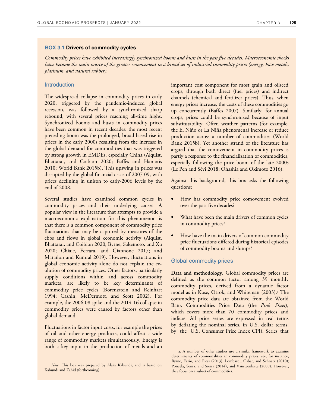## **BOX 3.1 Drivers of commodity cycles**

*Commodity prices have exhibited increasingly synchronized booms and busts in the past five decades. Macroeconomic shocks have become the main source of the greater comovement in a broad set of industrial commodity prices (energy, base metals, platinum, and natural rubber).* 

# **Introduction**

The widespread collapse in commodity prices in early 2020, triggered by the pandemic-induced global recession, was followed by a synchronized sharp rebound, with several prices reaching all-time highs. Synchronized booms and busts in commodity prices have been common in recent decades: the most recent preceding boom was the prolonged, broad-based rise in prices in the early 2000s resulting from the increase in the global demand for commodities that was triggered by strong growth in EMDEs, especially China (Alquist, Bhattarai, and Coibion 2020; Baffes and Haniotis 2010; World Bank 2015b). This upswing in prices was disrupted by the global financial crisis of 2007-09, with prices declining in unison to early-2006 levels by the end of 2008.

Several studies have examined common cycles in commodity prices and their underlying causes. A popular view in the literature that attempts to provide a macroeconomic explanation for this phenomenon is that there is a common component of commodity price fluctuations that may be captured by measures of the ebbs and flows in global economic activity (Alquist, Bhattarai, and Coibion 2020; Byrne, Sakemoto, and Xu 2020; Chiaie, Ferrara, and Giannone 2017; and Marañon and Kumral 2019). However, fluctuations in global economic activity alone do not explain the evolution of commodity prices. Other factors, particularly supply conditions within and across commodity markets, are likely to be key determinants of commodity price cycles (Borensztein and Reinhart 1994; Cashin, McDermott, and Scott 2002). For example, the 2006-08 spike and the 2014-16 collapse in commodity prices were caused by factors other than global demand.

Fluctuations in factor input costs, for example the prices of oil and other energy products, could affect a wide range of commodity markets simultaneously. Energy is both a key input in the production of metals and an

important cost component for most grain and oilseed crops, through both direct (fuel prices) and indirect channels (chemical and fertilizer prices). Thus, when energy prices increase, the costs of these commodities go up concurrently (Baffes 2007). Similarly, for annual crops, prices could be synchronized because of input substitutability. Often weather patterns (for example, the El Niño or La Niña phenomena) increase or reduce production across a number of commodities (World Bank 2015b). Yet another strand of the literature has argued that the comovement in commodity prices is partly a response to the financialization of commodities, especially following the price boom of the late 2000s (Le Pen and Sévi 2018; Ohashia and Okimoto 2016).

Against this background, this box asks the following questions:

- How has commodity price comovement evolved over the past five decades?
- What have been the main drivers of common cycles in commodity prices?
- How have the main drivers of common commodity price fluctuations differed during historical episodes of commodity booms and slumps?

# Global commodity prices

**Data and methodology.** Global commodity prices are defined as the common factor among 39 monthly commodity prices, derived from a dynamic factor model as in Kose, Otrok, and Whiteman (2003).ª The commodity price data are obtained from the World Bank Commodities Price Data (the *Pink Sheet*), which covers more than 70 commodity prices and indices. All price series are expressed in real terms by deflating the nominal series, in U.S. dollar terms, by the U.S. Consumer Price Index CPI). Series that

*Note*: This box was prepared by Alain Kabundi, and is based on Kabundi and Zahid (forthcoming).

a. A number of other studies use a similar framework to examine determinants of commonalities in commodity prices; see, for instance, Byrne, Fazio, and Fiess (2013); Lombardi, Osbat, and Schnatz (2010); Poncela, Senra, and Sierra (2014); and Vansteenkiste (2009). However, they focus on a subset of commodities.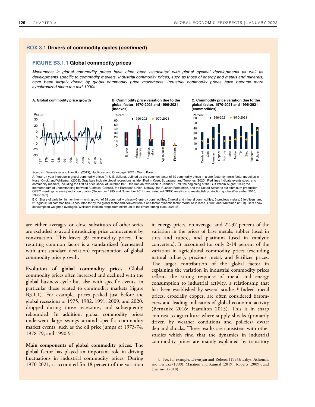### **FIGURE B3.1.1 Global commodity prices**

*Movements in global commodity prices have often been associated with global cyclical developments as well as developments specific to commodity markets. Industrial commodity prices, such as those of energy and metals and minerals, have been largely driven by global commodity price movements. Industrial commodity prices have become more synchronized since the mid-1990s.* 



**[A. Global commodity price growth B. Commodity price variation due to the](https://thedocs.worldbank.org/en/doc/cb15f6d7442eadedf75bb95c4fdec1b3-0350012022/related/GEP-January-2022-Chapter3-Box1.xlsx)  global factor, 1970-2021 and 1996-2021 (indexes)** 



**C. Commodity price variation due to the global factor, 1970-2021 and 1996-2021 (commodities)** 



*Sources*: Baumeister and Hamilton (2019); Ha, Kose, and Ohnsorge (2021); World Bank.

A. Year-on-year increase in global commodity prices (in U.S. dollars), defined as the common factor of 39 commodity prices in a one-factor dynamic factor model as in Kose, Otrok, and Whiteman (2003). Gray bars indicate global recessions as identified in Kose, Sugawara, and Terrones (2020). Red lines indicate events specific to commodity markets, including the first oil price shock of October 1973; the Iranian revolution in January 1979; the beginning of the Gulf War in August 1990; the memorandum of understanding between Australia, Canada, the European Union, Norway, the Russian Federation, and the United States to cut aluminum production; OPEC meetings to ease production quotas (December 1985 and November 2014); and selected OPEC meetings to reestablish production quotas (December 2016, 1998-1999).

B.C. Share of variation in month-on-month growth of 39 commodity prices—3 energy commodities, 7 metal and mineral commodities, 3 precious metals, 5 fertilizers, and 21 agricultural commodities—accounted for by the global factor and derived from a one-factor dynamic factor model as in Kose, Otrok, and Whiteman (2003). Bars show consumption-weighted averages. Whiskers indicate range from minimum to maximum during 1996-2021 (B).

are either averages or close substitutes of other series are excluded to avoid introducing price comovement by construction. This leaves 39 commodity prices. The resulting common factor is a standardized (demeaned with unit standard deviation) representation of global commodity price growth.

**Evolution of global commodity prices.** Global commodity prices often increased and declined with the global business cycle but also with specific events, in particular those related to commodity markets (figure B3.1.1). For example, prices peaked just before the global recessions of 1975, 1982, 1991, 2009, and 2020, dropped during those recessions, and subsequently rebounded. In addition, global commodity prices underwent large swings around specific commodity market events, such as the oil price jumps of 1973-74, 1978-79, and 1990-91.

**Main components of global commodity prices.** The global factor has played an important role in driving fluctuations in industrial commodity prices. During 1970-2021, it accounted for 18 percent of the variation

in energy prices, on average, and 22-37 percent of the variation in the prices of base metals, rubber (used in tires and tubes), and platinum (used in catalytic converters). It accounted for only 2-14 percent of the variation in agricultural commodity prices (excluding natural rubber), precious metal, and fertilizer prices. The larger contribution of the global factor in explaining the variation in industrial commodity prices reflects the strong response of metal and energy consumption to industrial activity, a relationship that has been established by several studies.<sup>b</sup> Indeed, metal prices, especially copper, are often considered barometers and leading indicators of global economic activity (Bernanke 2016; Hamilton 2015). This is in sharp contrast to agriculture where supply shocks (primarily driven by weather conditions and policies) dwarf demand shocks. These results are consistent with other studies which find that the dynamics in industrial commodity prices are mainly explained by transitory

b. See, for example, Davutyan and Roberts (1994); Labys, Achouch, and Terraza (1999); Marañon and Kumral (2019); Roberts (2009); and Stuermer (2018).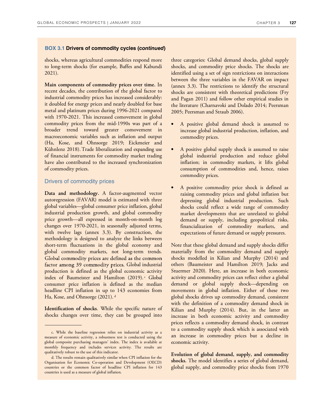shocks, whereas agricultural commodities respond more to long-term shocks (for example, Baffes and Kabundi 2021).

**Main components of commodity prices over time.** In recent decades, the contribution of the global factor to industrial commodity prices has increased considerably: it doubled for energy prices and nearly doubled for base metal and platinum prices during 1996-2021 compared with 1970-2021. This increased comovement in global commodity prices from the mid-1990s was part of a broader trend toward greater comovement in macroeconomic variables such as inflation and output (Ha, Kose, and Ohnsorge 2019; Eickmeier and Kühnlenz 2018). Trade liberalization and expanding use of financial instruments for commodity market trading have also contributed to the increased synchronization of commodity prices.

# Drivers of commodity prices

**Data and methodology.** A factor-augmented vector autoregression (FAVAR) model is estimated with three global variables—global consumer price inflation, global industrial production growth, and global commodity price growth—all expressed in month-on-month log changes over 1970-2021, in seasonally adjusted terms, with twelve lags (annex 3.3). By construction, the methodology is designed to analyze the links between short-term fluctuations in the global economy and global commodity markets, not long-term trends. Global commodity prices are defined as the common factor among 39 commodity prices. Global industrial production is defined as the global economic activity index of Baumeister and Hamilton (2019).<sup>c</sup> Global consumer price inflation is defined as the median headline CPI inflation in up to 143 economies from Ha, Kose, and Ohnsorge (2021).<sup>d</sup>

**Identification of shocks**. While the specific nature of shocks changes over time, they can be grouped into

three categories: Global demand shocks, global supply shocks, and commodity price shocks. The shocks are identified using a set of sign restrictions on interactions between the three variables in the FAVAR on impact (annex 3.3). The restrictions to identify the structural shocks are consistent with theoretical predictions (Fry and Pagan 2011) and follow other empirical studies in the literature (Charnavoki and Dolado 2014; Peersman 2005; Peersman and Straub 2006).

- A positive global demand shock is assumed to increase global industrial production, inflation, and commodity prices.
- A positive global supply shock is assumed to raise global industrial production and reduce global inflation; in commodity markets, it lifts global consumption of commodities and, hence, raises commodity prices.
- A positive commodity price shock is defined as raising commodity prices and global inflation but depressing global industrial production. Such shocks could reflect a wide range of commodity market developments that are unrelated to global demand or supply, including geopolitical risks, financialization of commodity markets, and expectations of future demand or supply pressures.

Note that these global demand and supply shocks differ materially from the commodity demand and supply shocks modelled in Kilian and Murphy (2014) and others (Baumeister and Hamilton 2019; Jacks and Stuermer 2020). Here, an increase in both economic activity and commodity prices can reflect either a global demand or global supply shock—depending on movements in global inflation. Either of these two global shocks drives up commodity demand, consistent with the definition of a commodity demand shock in Kilian and Murphy (2014). But, in the latter an increase in both economic activity and commodity prices reflects a commodity demand shock, in contrast to a commodity supply shock which is associated with an increase in commodity prices but a decline in economic activity.

**Evolution of global demand, supply, and commodity shocks.** The model identifies a series of global demand, global supply, and commodity price shocks from 1970

c. While the baseline regression relies on industrial activity as a measure of economic activity, a robustness test is conducted using the global composite purchasing managers' index. The index is available at monthly frequency and includes services activity. The results are qualitatively robust to the use of this indicator.

d. The results remain qualitatively similar when CPI inflation for the Organisation for Economic Co-operation and Development (OECD) countries or the common factor of headline CPI inflation for 143 countries is used as a measure of global inflation.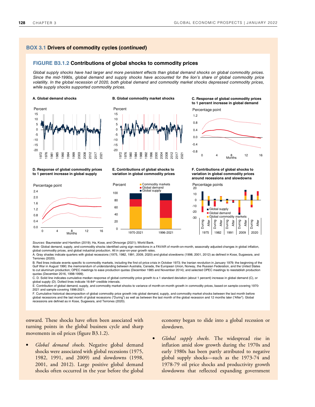### **FIGURE B3.1.2 Contributions of global shocks to commodity prices**

*Global supply shocks have had larger and more persistent effects than global demand shocks on global commodity prices. Since the mid-1990s, global demand and supply shocks have accounted for the lion's share of global commodity price volatility. In the global recession of 2020, both global demand and commodity market shocks depressed commodity prices, while supply shocks supported commodity prices.* 



### -20 -15 -10 -5 0 5 10 15 1972 1976 1980 1984 1988 1992 1996 2000 2004 2008 2012 2017 2021 Percent

**D. Response of global commodity prices to 1 percent increase in global supply** 

### **E. Contributions of global shocks to variation in global commodity prices**



**[A. Global demand shocks B. Global commodity market shocks C. Response of global commodity prices](https://thedocs.worldbank.org/en/doc/cb15f6d7442eadedf75bb95c4fdec1b3-0350012022/related/GEP-January-2022-Chapter3-Box1.xlsx)  to 1 percent increase in global demand** 

Percentage point



**F. Contributions of global shocks to variation in global commodity prices around recessions and slowdowns** 



Percentage points



*Sources:* Baumeister and Hamilton (2019); Ha, Kose, and Ohnsorge (2021); World Bank.

*Note*: Global demand, supply, and commodity shocks identified using sign restrictions in a FAVAR of month-on-month, seasonally adjusted changes in global inflation, global commodity prices, and global industrial production. All in year-on-year growth rates.

A. Gray shades indicate quarters with global recessions (1975, 1982, 1991, 2009, 2020) and global slowdowns (1998, 2001, 2012) as defined in Kose, Sugawara, and Terrones (2020).

B. Red lines indicate events specific to commodity markets, including the first oil price crisis in October 1973; the Iranian revolution in January 1979; the beginning of the Gulf War in August 1990; the memorandum of understanding between Australia, Canada, the European Union, Norway, the Russian Federation, and the United States<br>to cut aluminum production; OPEC meetings to ease production quo quotas (December 2016, 1998-1999).

C. D. Solid line indicates cumulative median response of global commodity price growth to a 1 standard deviation (about 1 percent) increase in global demand (C), or global supply (D). Dotted lines indicate 16-84<sup>th</sup> credible intervals.

E. Contribution of global demand, supply, and commodity market shocks to variance of month-on-month growth in commodity prices, based on sample covering 1970- 2021 and sample covering 1996-2021.

F. Cumulative historical decomposition of global commodity price growth into global demand, supply, and commodity market shocks between the last month before global recessions and the last month of global recessions ("During") as well as between the last month of the global recession and 12 months later ("After"). Global recessions are defined as in Kose, Sugawara, and Terrones (2020).

onward. These shocks have often been associated with turning points in the global business cycle and sharp movements in oil prices (figure B3.1.2).

• *Global demand shocks.* Negative global demand shocks were associated with global recessions (1975, 1982, 1991, and 2009) and slowdowns (1998, 2001, and 2012). Large positive global demand shocks often occurred in the year before the global economy began to slide into a global recession or slowdown.

• *Global supply shocks.* The widespread rise in inflation amid slow growth during the 1970s and early 1980s has been partly attributed to negative global supply shocks—such as the 1973-74 and 1978-79 oil price shocks and productivity growth slowdowns that reflected expanding government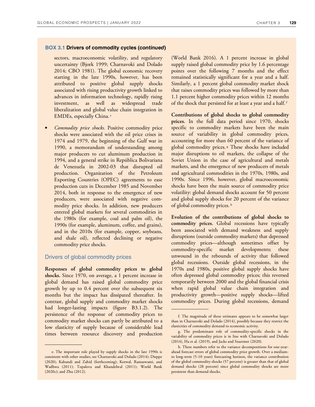sectors, macroeconomic volatility, and regulatory uncertainty (Bjork 1999; Charnavoki and Dolado 2014; CBO 1981). The global economic recovery starting in the late 1990s, however, has been attributed to positive global supply shocks associated with rising productivity growth linked to advances in information technology, rapidly rising investment, as well as widespread trade liberalization and global value chain integration in EMDEs, especially China.<sup>e</sup>

• *Commodity price shocks.* Positive commodity price shocks were associated with the oil price crises in 1974 and 1979, the beginning of the Gulf war in 1990, a memorandum of understanding among major producers to cut aluminum production in 1994, and a general strike in República Bolivariana de Venezuela in 2002-03 that disrupted oil production. Organization of the Petroleum Exporting Countries (OPEC) agreements to ease production cuts in December 1985 and November 2014, both in response to the emergence of new producers, were associated with negative commodity price shocks. In addition, new producers entered global markets for several commodities in the 1980s (for example, coal and palm oil), the 1990s (for example, aluminum, coffee, and grains), and in the 2010s (for example, copper, soybeans, and shale oil), reflected declining or negative commodity price shocks.

# Drivers of global commodity prices

**Responses of global commodity prices to global shocks.** Since 1970, on average, a 1 percent increase in global demand has raised global commodity price growth by up to 0.4 percent over the subsequent six months but the impact has dissipated thereafter. In contrast, global supply and commodity market shocks had longer-lasting impacts (figure B3.1.2). The persistence of the response of commodity prices to commodity market shocks can partly be attributed to a low elasticity of supply because of considerable lead times between resource discovery and production

(World Bank 2016). A 1 percent increase in global supply raised global commodity price by 1.6 percentage points over the following 7 months and the effect remained statistically significant for a year and a half. Similarly, a 1 percent global commodity market shock that raises commodity prices was followed by more than 1.1 percent higher commodity prices within 12 months of the shock that persisted for at least a year and a half.<sup>f</sup>

**Contributions of global shocks to global commodity prices.** In the full data period since 1970, shocks specific to commodity markets have been the main source of variability in global commodity prices, accounting for more than 60 percent of the variance of global commodity prices. g These shocks have included major disruptions to oil markets, the collapse of the Soviet Union in the case of agricultural and metals markets, and the emergence of new producers of metals and agricultural commodities in the 1970s, 1980s, and 1990s. Since 1996, however, global macroeconomic shocks have been the main source of commodity price volatility: global demand shocks account for 50 percent and global supply shocks for 20 percent of the variance of global commodity prices.<sup>h</sup>

**Evolution of the contributions of global shocks to commodity prices.** Global recessions have typically been associated with demand weakness and supply disruptions (outside commodity markets) that depressed commodity prices—although sometimes offset by commodity-specific market developments; these unwound in the rebounds of activity that followed global recessions. Outside global recessions, in the 1970s and 1980s, positive global supply shocks have often depressed global commodity prices; this reversed temporarily between 2000 and the global financial crisis when rapid global value chain integration and productivity growth—positive supply shocks—lifted commodity prices. During global recessions, demand

e. The important role played by supply shocks in the late 1990s is consistent with other studies; see Charnavoki and Dolado (2014); Dieppe (2020); Kabundi and Zahid (forthcoming); Kotwal, Ramaswami, and Wadhwa (2011); Topalova and Khandelwal (2011); World Bank (2020c); and Zhu (2012).

f. The magnitude of these estimates appears to be somewhat larger than in Charnavoki and Dolado (2014), possibly because they restrict the elasticities of commodity demand to economic activity.

g. The predominant role of commodity-specific shocks in the variability of commodity prices is in line with Charnavoki and Dolado (2014), Ha et al. (2019), and Jacks and Stuermer (2020).

h. These numbers refer to the variance decompositions for one-yearahead forecast errors of global commodity price growth. Over a mediumto long-term (5-10 years) forecasting horizon, the variance contribution of the global commodity shocks (57 percent) is greater than that of global demand shocks (28 percent) since global commodity shocks are more persistent than demand shocks.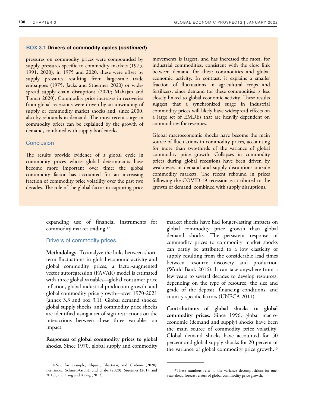pressures on commodity prices were compounded by supply pressures specific to commodity markets (1975, 1991, 2020); in 1975 and 2020, these were offset by supply pressures resulting from large-scale trade embargoes (1975; Jacks and Stuermer 2020) or widespread supply chain disruptions (2020; Mahajan and Tomar 2020). Commodity price increases in recoveries from global recessions were driven by an unwinding of supply or commodity market shocks and, since 2000, also by rebounds in demand. The most recent surge in commodity prices can be explained by the growth of demand, combined with supply bottlenecks.

# **Conclusion**

The results provide evidence of a global cycle in commodity prices whose global determinants have become more important over time: the global commodity factor has accounted for an increasing fraction of commodity price volatility over the past two decades. The role of the global factor in capturing price

> expanding use of financial instruments for commodity market trading.<sup>12</sup>

# Drivers of commodity prices

**Methodology.** To analyze the links between shortterm fluctuations in global economic activity and global commodity prices, a factor-augmented vector autoregression (FAVAR) model is estimated with three global variables—global consumer price inflation, global industrial production growth, and global commodity price growth—over 1970-2021 (annex 3.3 and box 3.1). Global demand shocks, global supply shocks, and commodity price shocks are identified using a set of sign restrictions on the interactions between these three variables on impact.

**Responses of global commodity prices to global shocks.** Since 1970, global supply and commodity

movements is largest, and has increased the most, for industrial commodities, consistent with the close link between demand for these commodities and global economic activity. In contrast, it explains a smaller fraction of fluctuations in agricultural crops and fertilizers, since demand for these commodities is less closely linked to global economic activity. These results suggest that a synchronized surge in industrial commodity prices will likely have widespread effects on a large set of EMDEs that are heavily dependent on commodities for revenues.

Global macroeconomic shocks have become the main source of fluctuations in commodity prices, accounting for more than two-thirds of the variance of global commodity price growth. Collapses in commodity prices during global recessions have been driven by weaknesses in demand and supply disruptions outside commodity markets. The recent rebound in prices following the COVID-19 recession is attributed to the growth of demand, combined with supply disruptions.

> market shocks have had longer-lasting impacts on global commodity price growth than global demand shocks. The persistent response of commodity prices to commodity market shocks can partly be attributed to a low elasticity of supply resulting from the considerable lead times between resource discovery and production (World Bank 2016). It can take anywhere from a few years to several decades to develop resources, depending on the type of resource, the size and grade of the deposit, financing conditions, and country-specific factors (UNECA 2011).

> **Contributions of global shocks to global commodity prices.** Since 1996, global macroeconomic (demand and supply) shocks have been the main source of commodity price volatility. Global demand shocks have accounted for 50 percent and global supply shocks for 20 percent of the variance of global commodity price growth.<sup>13</sup>

<sup>12</sup>See, for example, Alquist, Bhattarai, and Coibion (2020); Fernández, Schmitt-Grohé, and Uribe (2020); Stuermer (2017 and 2018); and Tang and Xiong (2012).

<sup>&</sup>lt;sup>13</sup> These numbers refer to the variance decompositions for oneyear-ahead forecast errors of global commodity price growth.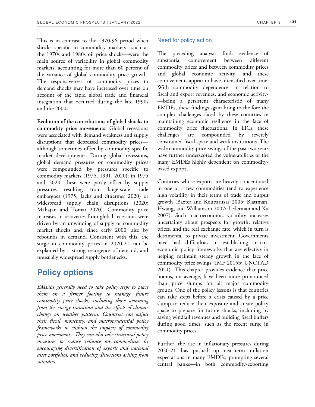This is in contrast to the 1970-96 period when shocks specific to commodity markets—such as the 1970s and 1980s oil price shocks—were the main source of variability in global commodity markets, accounting for more than 60 percent of the variance of global commodity price growth. The responsiveness of commodity prices to demand shocks may have increased over time on account of the rapid global trade and financial integration that occurred during the late 1990s and the 2000s.

**Evolution of the contributions of global shocks to commodity price movements.** Global recessions were associated with demand weakness and supply disruptions that depressed commodity prices although sometimes offset by commodity-specific market developments. During global recessions, global demand pressures on commodity prices were compounded by pressures specific to commodity markets (1975, 1991, 2020); in 1975 and 2020, these were partly offset by supply pressures resulting from large-scale trade embargoes (1975; Jacks and Stuermer 2020) or widespread supply chain disruptions (2020; Mahajan and Tomar 2020). Commodity price increases in recoveries from global recessions were driven by an unwinding of supply or commodity market shocks and, since early 2000, also by rebounds in demand. Consistent with this, the surge in commodity prices in 2020-21 can be explained by a strong resurgence of demand, and unusually widespread supply bottlenecks.

# **Policy options**

*EMDEs generally need to take policy steps to place them on a firmer footing to manage future commodity price shocks, including those stemming from the energy transition and the effects of climate change on weather patterns. Countries can adjust their fiscal, monetary, and macroprudential policy frameworks to cushion the impacts of commodity price movements. They can also take structural policy measures to reduce reliance on commodities by encouraging diversification of exports and national asset portfolios, and reducing distortions arising from subsidies.* 

# Need for policy action

The preceding analysis finds evidence of substantial comovement between different commodity prices and between commodity prices and global economic activity, and these comovements appear to have intensified over time. With commodity dependence—in relation to fiscal and export revenues, and economic activity- —being a persistent characteristic of many EMDEs, these findings again bring to the fore the complex challenges faced by these countries in maintaining economic resilience in the face of commodity price fluctuations. In LICs, these challenges are compounded by severely constrained fiscal space and weak institutions. The wide commodity price swings of the past two years have further underscored the vulnerabilities of the many EMDEs highly dependent on commoditybased exports.

Countries whose exports are heavily concentrated in one or a few commodities tend to experience high volatility in their terms of trade and output growth (Baxter and Kouparitsas 2005; Blattman, Hwang, and Williamson 2007; Lederman and Xu 2007). Such macroeconomic volatility increases uncertainty about prospects for growth, relative prices, and the real exchange rate, which in turn is detrimental to private investment. Governments have had difficulties in establishing macroeconomic policy frameworks that are effective in helping maintain steady growth in the face of commodity price swings (IMF 2015b; UNCTAD 2021). This chapter provides evidence that price booms, on average, have been more pronounced than price slumps for all major commodity groups. One of the policy lessons is that countries can take steps before a crisis caused by a price slump to reduce their exposure and create policy space to prepare for future shocks, including by saving windfall revenues and building fiscal buffers during good times, such as the recent surge in commodity prices.

Further, the rise in inflationary pressures during 2020-21 has pushed up near-term inflation expectations in many EMDEs, prompting several central banks—in both commodity-exporting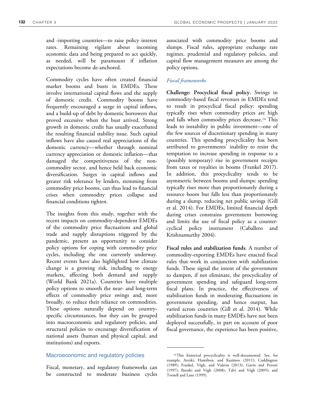and -importing countries—to raise policy interest rates. Remaining vigilant about incoming economic data and being prepared to act quickly, as needed, will be paramount if inflation expectations become de-anchored.

Commodity cycles have often created financial market booms and busts in EMDEs. These involve international capital flows and the supply of domestic credit. Commodity booms have frequently encouraged a surge in capital inflows, and a build-up of debt by domestic borrowers that proved excessive when the bust arrived. Strong growth in domestic credit has usually exacerbated the resulting financial stability issue. Such capital inflows have also caused real appreciations of the domestic currency—whether through nominal currency appreciation or domestic inflation—that damaged the competitiveness of the noncommodity sector, and hence held back economic diversification. Surges in capital inflows and greater risk tolerance by lenders, stemming from commodity price booms, can thus lead to financial crises when commodity prices collapse and financial conditions tighten.

The insights from this study, together with the recent impacts on commodity-dependent EMDEs of the commodity price fluctuations and global trade and supply disruptions triggered by the pandemic, present an opportunity to consider policy options for coping with commodity price cycles, including the one currently underway. Recent events have also highlighted how climate change is a growing risk, including to energy markets, affecting both demand and supply (World Bank 2021a). Countries have multiple policy options to smooth the near- and long-term effects of commodity price swings and, more broadly, to reduce their reliance on commodities. These options naturally depend on countryspecific circumstances, but they can be grouped into macroeconomic and regulatory policies, and structural policies to encourage diversification of national assets (human and physical capital, and institutions) and exports.

# Macroeconomic and regulatory policies

Fiscal, monetary, and regulatory frameworks can be constructed to moderate business cycles

associated with commodity price booms and slumps. Fiscal rules, appropriate exchange rate regimes, prudential and regulatory policies, and capital flow management measures are among the policy options.

# *Fiscal frameworks*

**Challenge: Procyclical fiscal policy.** Swings in commodity-based fiscal revenues in EMDEs tend to result in procyclical fiscal policy: spending typically rises when commodity prices are high and falls when commodity prices decrease.<sup>14</sup> This leads to instability in public investment—one of the few sources of discretionary spending in many countries. This spending procyclicality has been attributed to governments' inability to resist the temptation to increase spending in response to a (possibly temporary) rise in government receipts from taxes or royalties in booms (Frankel 2017). In addition, this procyclicality tends to be asymmetric between booms and slumps: spending typically rises more than proportionately during a resource boom but falls less than proportionately during a slump, reducing net public savings (Gill et al. 2014). For EMDEs, limited financial depth during crises constrains government borrowing and limits the use of fiscal policy as a countercyclical policy instrument (Caballero and Krishnamurthy 2004).

**Fiscal rules and stabilization funds.** A number of commodity-exporting EMDEs have enacted fiscal rules that work in conjunction with stabilization funds. These signal the intent of the government to dampen, if not eliminate, the procyclicality of government spending and safeguard long-term fiscal plans. In practice, the effectiveness of stabilization funds in moderating fluctuations in government spending, and hence output, has varied across countries (Gill et al. 2014). While stabilization funds in many EMDEs have not been deployed successfully, in part on account of poor fiscal governance, the experience has been positive,

<sup>&</sup>lt;sup>14</sup>This historical procyclicality is well-documented. See, for example, Arezki, Hamilton, and Kazimov (2011); Cuddington (1989); Frankel, Végh, and Vuletin (2013); Gavin and Perotti (1997); Ilzetzki and Végh (2008); Talvi and Végh (2005); and Tornell and Lane (1999).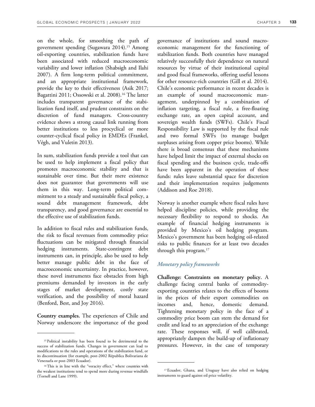on the whole, for smoothing the path of government spending (Sugawara 2014).15 Among oil-exporting countries, stabilization funds have been associated with reduced macroeconomic variability and lower inflation (Shabsigh and Ilahi 2007). A firm long-term political commitment, and an appropriate institutional framework, provide the key to their effectiveness (Asik 2017; Bagattini 2011; Ossowski et al. 2008).16 The latter includes transparent governance of the stabilization fund itself, and prudent constraints on the discretion of fund managers. Cross-country evidence shows a strong causal link running from better institutions to less procyclical or more counter-cyclical fiscal policy in EMDEs (Frankel, Végh, and Vuletin 2013).

In sum, stabilization funds provide a tool that can be used to help implement a fiscal policy that promotes macroeconomic stability and that is sustainable over time. But their mere existence does not guarantee that governments will use them in this way. Long-term political commitment to a steady and sustainable fiscal policy, a sound debt management framework, debt transparency, and good governance are essential to the effective use of stabilization funds.

In addition to fiscal rules and stabilization funds, the risk to fiscal revenues from commodity price fluctuations can be mitigated through financial hedging instruments. State-contingent debt instruments can, in principle, also be used to help better manage public debt in the face of macroeconomic uncertainty. In practice, however, these novel instruments face obstacles from high premiums demanded by investors in the early stages of market development, costly state verification, and the possibility of moral hazard (Benford, Best, and Joy 2016).

**Country examples.** The experiences of Chile and Norway underscore the importance of the good governance of institutions and sound macroeconomic management for the functioning of stabilization funds. Both countries have managed relatively successfully their dependence on natural resources by virtue of their institutional capital and good fiscal frameworks, offering useful lessons for other resource-rich countries (Gill et al. 2014). Chile's economic performance in recent decades is an example of sound macroeconomic management, underpinned by a combination of inflation targeting, a fiscal rule, a free-floating exchange rate, an open capital account, and sovereign wealth funds (SWFs). Chile's Fiscal Responsibility Law is supported by the fiscal rule and two formal SWFs (to manage budget surpluses arising from copper price booms). While there is broad consensus that these mechanisms have helped limit the impact of external shocks on fiscal spending and the business cycle, trade-offs have been apparent in the operation of these funds: rules leave substantial space for discretion and their implementation requires judgements (Addison and Roe 2018).

Norway is another example where fiscal rules have helped discipline policies, while providing the necessary flexibility to respond to shocks. An example of financial hedging instruments is provided by Mexico's oil hedging program. Mexico's government has been hedging oil-related risks to public finances for at least two decades through this program.<sup>17</sup>

# *Monetary policy frameworks*

**Challenge: Constraints on monetary policy.** A challenge facing central banks of commodityexporting countries relates to the effects of booms in the prices of their export commodities on incomes and, hence, domestic demand. Tightening monetary policy in the face of a commodity price boom can stem the demand for credit and lead to an appreciation of the exchange rate. These responses will, if well calibrated, appropriately dampen the build-up of inflationary pressures. However, in the case of temporary

<sup>&</sup>lt;sup>15</sup> Political instability has been found to be detrimental to the success of stabilization funds. Changes in government can lead to modifications to the rules and operations of the stabilization fund, or its discontinuation (for example, post-2002 Républica Bolivariana de Venezuela or post-2003 Ecuador).

<sup>&</sup>lt;sup>16</sup>This is in line with the "voracity effect," where countries with the weakest institutions tend to spend more during revenue windfalls (Tornell and Lane 1999).

<sup>17</sup>Ecuador, Ghana, and Uruguay have also relied on hedging instruments to guard against oil price volatility.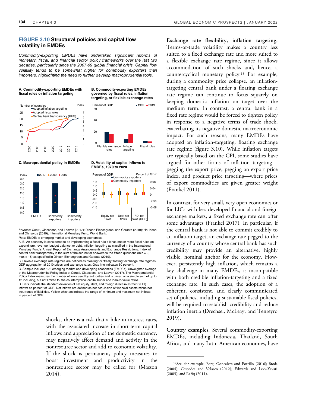# **FIGURE 3.10 Structural policies and capital flow volatility in EMDEs**

*Commodity-exporting EMDEs have undertaken significant reforms of monetary, fiscal, and financial sector policy frameworks over the last two decades, particularly since the 2007-09 global financial crisis. Capital flow volatility tends to be somewhat higher for commodity exporters than importers, highlighting the need to further develop macroprudential tools.* 

0

20

40

60





### **[C. Macroprudential policy in EMDEs D. Volatility of capital inflows to](https://thedocs.worldbank.org/en/doc/cb15f6d7442eadedf75bb95c4fdec1b3-0350012022/related/GEP-January-2022-Chapter3-Fig3-10.xlsx)**



**EMDEs, 1970 to 2020** 

Inflation targeting Fiscal rules

Flexible exchange rates

**B. Commodity-exporting EMDEs governed by fiscal rules, inflation** 

Percent of GDP 1999 2019



*Sources*: Ceruti, Claessens, and Laeven (2017); Dincer, Eichengreen, and Geraats (2019); Ha, Kose, and Ohnsorge (2019); International Monetary Fund; World Bank. *Note*: EMDEs = emerging market and developing economies.

A. B. An economy is considered to be implementing a fiscal rule if it has one or more fiscal rules on expenditure, revenue, budget balance, or debt. Inflation targeting as classified in the International Monetary Fund's Annual Report of Exchange Arrangements and Exchange Restrictions. Index of central bank transparency is the sum of the scores for answers to the fifteen questions (min = 0, max = 15) as specified in Dincer, Eichengreen, and Geraats (2019).

B. Flexible exchange rate regimes are defined as "floating" or "freely floating" exchange rate regimes. GDP aggregation at 2010 prices and exchange rates. Gray line indicates 50 percent. C. Sample includes 123 emerging market and developing economies (EMDEs). Unweighted average of the Macroprudential Policy Index of Cerutti, Claessens, and Laeven (2017). The Macroprudential Policy Index measures the number of tools used by authorities and is based on a simple sum of up to 12 including, but not limited to, the countercyclical capital buffer and loan-to-value ratios. D. Bars indicate the standard deviation of net equity, debt, and foreign direct investment (FDI) inflows as percent of GDP. Net inflows are defined as net acquisition of financial assets minus net incurrence of liabilities. Yellow whiskers indicate the range of minimum and maximum net inflows in percent of GDP.

> shocks, there is a risk that a hike in interest rates, with the associated increase in short-term capital inflows and appreciation of the domestic currency, may negatively affect demand and activity in the nonresource sector and add to economic volatility. If the shock is permanent, policy measures to boost investment and productivity in the nonresource sector may be called for (Masson 2014).

**Exchange rate flexibility, inflation targeting.**  Terms-of-trade volatility makes a country less suited to a fixed exchange rate and more suited to a flexible exchange rate regime, since it allows accommodation of such shocks and, hence, a countercyclical monetary policy.18 For example, during a commodity price collapse, an inflationtargeting central bank under a floating exchange rate regime can continue to focus squarely on keeping domestic inflation on target over the medium term. In contrast, a central bank in a fixed rate regime would be forced to tighten policy in response to a negative terms of trade shock, exacerbating its negative domestic macroeconomic impact. For such reasons, many EMDEs have adopted an inflation-targeting, floating exchange rate regime (figure 3.10). While inflation targets are typically based on the CPI, some studies have argued for other forms of inflation targeting pegging the export price, pegging an export price index, and product price targeting—where prices of export commodities are given greater weight (Frankel 2011).

In contrast, for very small, very open economies or for LICs with less developed financial and foreign exchange markets, a fixed exchange rate can offer some advantages (Frankel 2017). In particular, if the central bank is not able to commit credibly to an inflation target, an exchange rate pegged to the currency of a country whose central bank has such credibility may provide an alternative, highly visible, nominal anchor for the economy. However, persistently high inflation, which remains a key challenge in many EMDEs, is incompatible with both credible inflation-targeting and a fixed exchange rate. In such cases, the adoption of a coherent, consistent, and clearly communicated set of policies, including sustainable fiscal policies, will be required to establish credibility and reduce inflation inertia (Drechsel, McLeay, and Tenreyro 2019).

**Country examples.** Several commodity-exporting EMDEs, including Indonesia, Thailand, South Africa, and many Latin American economies, have

<sup>18</sup>See, for example, Berg, Goncalves and Portillo (2016); Broda (2004); Céspedes and Velasco (2012); Edwards and Levy-Yeyati (2005); and Rafiq (2011).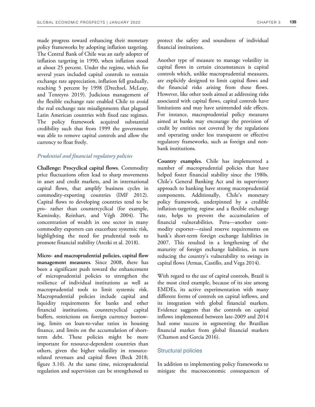made progress toward enhancing their monetary policy frameworks by adopting inflation targeting. The Central Bank of Chile was an early adopter of inflation targeting in 1990, when inflation stood at about 25 percent. Under the regime, which for several years included capital controls to restrain exchange rate appreciation, inflation fell gradually, reaching 5 percent by 1998 (Drechsel, McLeay, and Tenreyro 2019). Judicious management of the flexible exchange rate enabled Chile to avoid the real exchange rate misalignments that plagued Latin American countries with fixed rate regimes. The policy framework acquired substantial credibility such that from 1999 the government was able to remove capital controls and allow the currency to float freely.

# *Prudential and financial regulatory policies*

**Challenge: Procyclical capital flows.** Commodity price fluctuations often lead to sharp movements in asset and credit markets, and in international capital flows, that amplify business cycles in commodity-exporting countries (IMF 2012). Capital flows to developing countries tend to be pro- rather than countercyclical (for example, Kaminsky, Reinhart, and Végh 2004). The concentration of wealth in one sector in many commodity exporters can exacerbate systemic risk, highlighting the need for prudential tools to promote financial stability (Arezki et al. 2018).

**Micro- and macroprudential policies, capital flow management measures.** Since 2008, there has been a significant push toward the enhancement of microprudential policies to strengthen the resilience of individual institutions as well as macroprudential tools to limit systemic risk. Macroprudential policies include capital and liquidity requirements for banks and other financial institutions, countercyclical capital buffers, restrictions on foreign currency borrowing, limits on loan-to-value ratios in housing finance, and limits on the accumulation of shortterm debt. These policies might be more important for resource-dependent countries than others, given the higher volatility in resourcerelated revenues and capital flows (Beck 2018; figure 3.10). At the same time, microprudential regulation and supervision can be strengthened to protect the safety and soundness of individual financial institutions.

Another type of measure to manage volatility in capital flows in certain circumstances is capital controls which, unlike macroprudential measures, are explicitly designed to limit capital flows and the financial risks arising from these flows. However, like other tools aimed at addressing risks associated with capital flows, capital controls have limitations and may have unintended side effects. For instance, macroprudential policy measures aimed at banks may encourage the provision of credit by entities not covered by the regulations and operating under less transparent or effective regulatory frameworks, such as foreign and nonbank institutions.

**Country examples.** Chile has implemented a number of macroprudential policies that have helped foster financial stability since the 1980s. Chile's General Banking Act and its supervisory approach to banking have strong macroprudential components. Additionally, Chile's monetary policy framework, underpinned by a credible inflation-targeting regime and a flexible exchange rate, helps to prevent the accumulation of financial vulnerabilities. Peru—another commodity exporter—raised reserve requirements on bank's short-term foreign exchange liabilities in 2007. This resulted in a lengthening of the maturity of foreign exchange liabilities, in turn reducing the country's vulnerability to swings in capital flows (Armas, Castillo, and Vega 2014).

With regard to the use of capital controls, Brazil is the most cited example, because of its size among EMDEs, its active experimentation with many different forms of controls on capital inflows, and its integration with global financial markets. Evidence suggests that the controls on capital inflows implemented between late-2009 and 2014 had some success in segmenting the Brazilian financial market from global financial markets (Chamon and Garcia 2016).

# Structural policies

In addition to implementing policy frameworks to mitigate the macroeconomic consequences of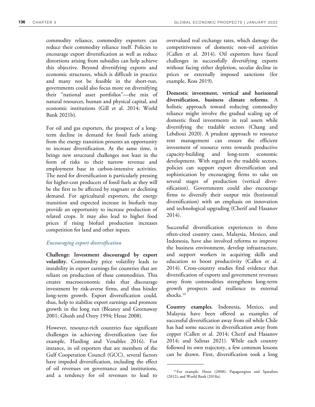commodity reliance, commodity exporters can reduce their commodity reliance itself. Policies to encourage export diversification as well as reduce distortions arising from subsidies can help achieve this objective. Beyond diversifying exports and economic structures, which is difficult in practice and many not be feasible in the short-run, governments could also focus more on diversifying their "national asset portfolios"—the mix of natural resources, human and physical capital, and economic institutions (Gill et al. 2014; World Bank 2021b).

For oil and gas exporters, the prospect of a longterm decline in demand for fossil fuels arising from the energy transition presents an opportunity to increase diversification. At the same time, it brings new structural challenges not least in the form of risks to their narrow revenue and employment base in carbon-intensive activities. The need for diversification is particularly pressing for higher-cost producers of fossil fuels as they will be the first to be affected by stagnant or declining demand. For agricultural exporters, the energy transition and expected increase in biofuels may provide an opportunity to increase production of related crops. It may also lead to higher food prices if rising biofuel production increases competition for land and other inputs.

# *Encouraging export diversification*

**Challenge: Investment discouraged by export volatility.** Commodity price volatility leads to instability in export earnings for countries that are reliant on production of these commodities. This creates macroeconomic risks that discourage investment by risk-averse firms, and thus hinder long-term growth. Export diversification could, thus, help to stabilize export earnings and promote growth in the long run (Bleaney and Greenaway 2001; Ghosh and Ostry 1994; Hesse 2008).

However, resource-rich countries face significant challenges in achieving diversification (see for example, Harding and Venables 2016). For instance, in oil exporters that are members of the Gulf Cooperation Council (GCC), several factors have impeded diversification, including the effect of oil revenues on governance and institutions, and a tendency for oil revenues to lead to

overvalued real exchange rates, which damage the competitiveness of domestic non-oil activities (Callen et al. 2014). Oil exporters have faced challenges in successfully diversifying exports without facing either depletion, secular decline in prices or externally imposed sanctions (for example, Ross 2019).

**Domestic investment, vertical and horizontal diversification, business climate reforms.** A holistic approach toward reducing commodity reliance might involve the gradual scaling up of domestic fixed investments in real assets while diversifying the tradable sectors (Chang and Lebdioui 2020). A prudent approach to resource rent management can ensure the efficient investment of resource rents towards productive capacity-building and long-term economic development. With regard to the tradable sectors, policies can support export diversification and sophistication by encouraging firms to take on several stages of production (vertical diversification). Governments could also encourage firms to diversify their output mix (horizontal diversification) with an emphasis on innovation and technological upgrading (Cherif and Hasanov 2014).

Successful diversification experiences in three often-cited country cases, Malaysia, Mexico, and Indonesia, have also involved reforms to improve the business environment, develop infrastructure, and support workers in acquiring skills and education to boost productivity (Callen et al. 2014). Cross-country studies find evidence that diversification of exports and government revenues away from commodities strengthens long-term growth prospects and resilience to external shocks.<sup>19</sup>

**Country examples.** Indonesia, Mexico, and Malaysia have been offered as examples of successful diversification away from oil while Chile has had some success in diversification away from copper (Callen et al. 2014; Cherif and Hasanov 2014; and Salinas 2021). While each country followed its own trajectory, a few common lessons can be drawn. First, diversification took a long

<sup>19</sup>For example, Hesse (2008); Papageorgiou and Spatafora (2012); and World Bank (2018a).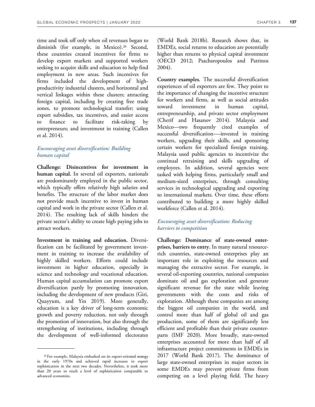time and took off only when oil revenues began to diminish (for example, in Mexico).<sup>20</sup> Second, these countries created incentives for firms to develop export markets and supported workers seeking to acquire skills and education to help find employment in new areas. Such incentives for firms included the development of highproductivity industrial clusters, and horizontal and vertical linkages within these clusters; attracting foreign capital, including by creating free trade zones, to promote technological transfer; using export subsidies, tax incentives, and easier access to finance to facilitate risk-taking by entrepreneurs; and investment in training (Callen et al. 2014).

# *Encouraging asset diversification: Building human capital*

**Challenge: Disincentives for investment in human capital.** In several oil exporters, nationals are predominantly employed in the public sector, which typically offers relatively high salaries and benefits. The structure of the labor market does not provide much incentive to invest in human capital and work in the private sector (Callen et al. 2014). The resulting lack of skills hinders the private sector's ability to create high paying jobs to attract workers.

**Investment in training and education.** Diversification can be facilitated by government investment in training to increase the availability of highly skilled workers. Efforts could include investment in higher education, especially in science and technology and vocational education. Human capital accumulation can promote export diversification partly by promoting innovation, including the development of new products (Giri, Quayyum, and Yin 2019). More generally, education is a key driver of long-term economic growth and poverty reduction, not only through the promotion of innovation, but also through the strengthening of institutions, including through the development of well-informed electorates

<sup>20</sup>For example, Malaysia embarked on its export-oriented strategy in the early 1970s and achieved rapid increases in export sophistication in the next two decades. Nevertheless, it took more than 20 years to reach a level of sophistication comparable to advanced economies.

(World Bank 2018b). Research shows that, in EMDEs, social returns to education are potentially higher than returns to physical capital investment (OECD 2012; Psacharopoulos and Patrinos 2004).

**Country examples.** The successful diversification experiences of oil exporters are few. They point to the importance of changing the incentive structure for workers and firms, as well as social attitudes toward investment in human capital, entrepreneurship, and private sector employment (Cherif and Hasanov 2014). Malaysia and Mexico—two frequently cited examples of successful diversification-—invested in training workers, upgrading their skills, and sponsoring certain workers for specialized foreign training. Malaysia used public agencies to incentivize the continual retraining and skills upgrading of employees. In addition, several agencies were tasked with helping firms, particularly small and medium-sized enterprises, through consulting services in technological upgrading and exporting to international markets. Over time, these efforts contributed to building a more highly skilled workforce (Callen et al. 2014).

# *Encouraging asset diversification: Reducing barriers to competition*

**Challenge: Dominance of state-owned enterprises, barriers to entry.** In many natural resourcerich countries, state-owned enterprises play an important role in exploiting the resources and managing the extractive sector. For example, in several oil-exporting countries, national companies dominate oil and gas exploration and generate significant revenue for the state while leaving governments with the costs and risks of exploration. Although these companies are among the biggest oil companies in the world, and control more than half of global oil and gas production, some of them are significantly less efficient and profitable than their private counterparts (IMF 2020). More broadly, state-owned enterprises accounted for more than half of all infrastructure project commitments in EMDEs in 2017 (World Bank 2017). The dominance of large state-owned enterprises in major sectors in some EMDEs may prevent private firms from competing on a level playing field. The heavy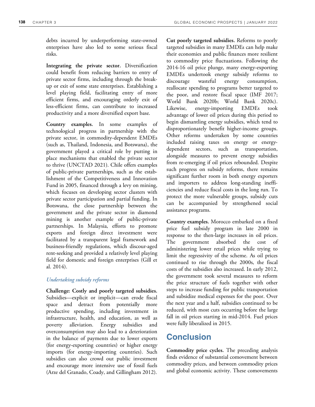debts incurred by underperforming state-owned enterprises have also led to some serious fiscal risks.

**Integrating the private sector.** Diversification could benefit from reducing barriers to entry of private sector firms, including through the breakup or exit of some state enterprises. Establishing a level playing field, facilitating entry of more efficient firms, and encouraging orderly exit of less-efficient firms, can contribute to increased productivity and a more diversified export base.

**Country examples.** In some examples of technological progress in partnership with the private sector, in commodity-dependent EMDEs (such as, Thailand, Indonesia, and Botswana), the government played a critical role by putting in place mechanisms that enabled the private sector to thrive (UNCTAD 2021). Chile offers examples of public-private partnerships, such as the establishment of the Competitiveness and Innovation Fund in 2005, financed through a levy on mining, which focuses on developing sector clusters with private sector participation and partial funding. In Botswana, the close partnership between the government and the private sector in diamond mining is another example of public-private partnerships. In Malaysia, efforts to promote exports and foreign direct investment were facilitated by a transparent legal framework and business-friendly regulations, which discour-aged rent-seeking and provided a relatively level playing field for domestic and foreign enterprises (Gill et al. 2014).

# *Undertaking subsidy reforms*

**Challenge: Costly and poorly targeted subsidies.**  Subsidies—explicit or implicit—can erode fiscal space and detract from potentially more productive spending, including investment in infrastructure, health, and education, as well as poverty alleviation. Energy subsidies and overconsumption may also lead to a deterioration in the balance of payments due to lower exports (for energy-exporting countries) or higher energy imports (for energy-importing countries). Such subsidies can also crowd out public investment and encourage more intensive use of fossil fuels (Arze del Granado, Coady, and Gillingham 2012).

**Cut poorly targeted subsidies.** Reforms to poorly targeted subsidies in many EMDEs can help make their economies and public finances more resilient to commodity price fluctuations. Following the 2014-16 oil price plunge, many energy-exporting EMDEs undertook energy subsidy reforms to discourage wasteful energy consumption, reallocate spending to programs better targeted to the poor, and restore fiscal space (IMF 2017; World Bank 2020b; World Bank 2020c). Likewise, energy-importing EMDEs took advantage of lower oil prices during this period to begin dismantling energy subsidies, which tend to disproportionately benefit higher-income groups. Other reforms undertaken by some countries included raising taxes on energy or energydependent sectors, such as transportation, alongside measures to prevent energy subsidies from re-emerging if oil prices rebounded. Despite such progress on subsidy reforms, there remains significant further room in both energy exporters and importers to address long-standing inefficiencies and reduce fiscal costs in the long run. To protect the more vulnerable groups, subsidy cuts can be accompanied by strengthened social assistance programs.

**Country examples.** Morocco embarked on a fixed price fuel subsidy program in late 2000 in response to the then-large increases in oil prices. The government absorbed the cost of administering lower retail prices while trying to limit the regressivity of the scheme. As oil prices continued to rise through the 2000s, the fiscal costs of the subsidies also increased. In early 2012, the government took several measures to reform the price structure of fuels together with other steps to increase funding for public transportation and subsidize medical expenses for the poor. Over the next year and a half, subsidies continued to be reduced, with most cuts occurring before the large fall in oil prices starting in mid-2014. Fuel prices were fully liberalized in 2015.

# **Conclusion**

**Commodity price cycles.** The preceding analysis finds evidence of substantial comovement between commodity prices, and between commodity prices and global economic activity. These comovements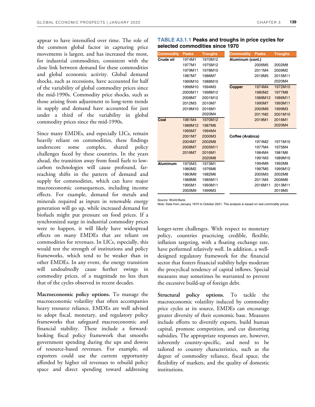appear to have intensified over time. The role of the common global factor in capturing price movements is largest, and has increased the most, for industrial commodities, consistent with the close link between demand for these commodities and global economic activity. Global demand shocks, such as recessions, have accounted for half of the variability of global commodity prices since the mid-1990s. Commodity price shocks, such as those arising from adjustment to long-term trends in supply and demand have accounted for just under a third of the variability in global commodity prices since the mid-1990s.

Since many EMDEs, and especially LICs, remain heavily reliant on commodities, these findings underscore some complex, shared policy challenges faced by these countries. In the years ahead, the transition away from fossil fuels to lowcarbon technologies will cause profound, farreaching shifts in the pattern of demand and supply for commodities, which can have major macroeconomic consequences, including income effects. For example, demand for metals and minerals required as inputs in renewable energy generation will go up, while increased demand for biofuels might put pressure on food prices. If a synchronized surge in industrial commodity prices were to happen, it will likely have widespread effects on many EMDEs that are reliant on commodities for revenues. In LICs, especially, this would test the strength of institutions and policy frameworks, which tend to be weaker than in other EMDEs. In any event, the energy transition will undoubtedly cause further swings in commodity prices, of a magnitude no less than that of the cycles observed in recent decades.

**Macroeconomic policy options.** To manage the macroeconomic volatility that often accompanies heavy resource reliance, EMDEs are well advised to adopt fiscal, monetary, and regulatory policy frameworks that safeguard macroeconomic and financial stability. These include a forwardlooking fiscal policy framework that smooths government spending during the ups and downs of resource-based revenues. For example, oil exporters could use the current opportunity afforded by higher oil revenues to rebuild policy space and direct spending toward addressing

| Commodity       | <b>Peaks</b> | <b>Troughs</b> | <b>Commodity</b> | <b>Peaks</b> | <b>Troughs</b> |
|-----------------|--------------|----------------|------------------|--------------|----------------|
| Crude oil       | 1974M1       | 1970M12        | Aluminum (cont.) |              |                |
|                 | 1977M1       | 1975M12        |                  | 2006M5       | 2002M8         |
|                 | 1979M11      | 1978M10        |                  | 2011M4       | 2009M2         |
|                 | 1987M7       | 1986M7         |                  | 2018M5       | 2015M11        |
|                 | 1990M10      | 1988M10        |                  |              | 2020M4         |
|                 | 1996M10      | 1994M3         | <b>Copper</b>    | 1974M4       | 1972M10        |
|                 | 2000M11      | 1998M12        |                  | 1980M2       | 1977M8         |
|                 | 2008M7       | 2001M12        |                  | 1988M12      | 1986M11        |
|                 | 2012M3       | 2010M7         |                  | 1995M7       | 1993M11        |
|                 | 2018M10      | 2016M1         |                  | 2000M9       | 1999M3         |
|                 |              | 2020M4         |                  | 2011M2       | 2001M10        |
| Coal            | 1981M4       | 1970M12        |                  | 2018M1       | 2016M1         |
|                 | 1988M12      | 1987M6         |                  |              | 2020M4         |
|                 | 1995M7       | 1994M4         |                  |              |                |
|                 | 2001M7       | 2000M3         | Coffee (Arabica) |              |                |
|                 | 2004M7       | 2002M8         |                  | 1974M2       | 1971M10        |
|                 | 2008M7       | 2005M11        |                  | 1977M4       | 1975M4         |
|                 | 2018M7       | 2016M1         |                  | 1984M4       | 1981M6         |
|                 |              | 2020M8         |                  | 1991M3       | 1989M10        |
| <b>Aluminum</b> | 1975M3       | 1973M1         |                  | 1994M9       | 1992M8         |
|                 | 1980M2       | 1976M6         |                  | 1997M5       | 1995M12        |
|                 | 1983M9       | 1982M6         |                  | 2005M3       | 2002M8         |
|                 | 1988M6       | 1985M11        |                  | 2011M4       | 2006M6         |
|                 | 1995M1       | 1993M11        |                  | 2016M11      | 2013M11        |
|                 | 2000M9       | 1999M3         |                  |              | 2019M5         |

# **TABLE A3.1.1 Peaks and troughs in price cycles for selected commodities since 1970**

*Source:* World Bank.

*Note:* Data from January 1970 to October 2021. The analysis is based on real commodity prices.

longer-term challenges. With respect to monetary policy, countries practicing credible, flexible, inflation targeting, with a floating exchange rate, have performed relatively well. In addition, a welldesigned regulatory framework for the financial sector that fosters financial stability helps moderate the procyclical tendency of capital inflows. Special measures may sometimes be warranted to prevent the excessive build-up of foreign debt.

**Structural policy options.** To tackle the macroeconomic volatility induced by commodity price cycles at its source, EMDEs can encourage greater diversity of their economic base. Measures include efforts to diversify exports, build human capital, promote competition, and cut distorting subsidies. The appropriate responses are, however, inherently country-specific, and need to be tailored to country characteristics, such as the degree of commodity reliance, fiscal space, the flexibility of markets, and the quality of domestic institutions.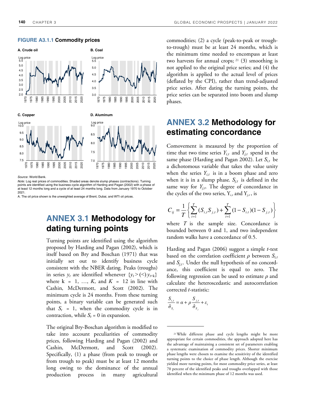### **FIGURE A3.1.1 Commodity prices**



*Source*: World Bank.

*Note*: Log real prices of commodities. Shaded areas denote slump phases (contractions). Turning points are identified using the business cycle algorithm of Harding and Pagan (2002) with a phase of<br>at least 12 months long and a cycle of at least 24 months long. Data from January 1970 to October 2021.

A. The oil price shown is the unweighted average of Brent, Dubai, and WTI oil prices.

# **ANNEX 3.1 Methodology for dating turning points**

Turning points are identified using the algorithm proposed by Harding and Pagan (2002), which is itself based on Bry and Boschan (1971) that was initially set out to identify business cycle consistent with the NBER dating. Peaks (troughs) in series  $y_t$  are identified whenever  $\{y_t > (\leq) y_{t+k}\}\$ where  $k = 1, \ldots, K$ , and  $K = 12$  in line with Cashin, McDermott, and Scott (2002). The minimum cycle is 24 months. From these turning points, a binary variable can be generated such that  $S_t = 1$ , when the commodity cycle is in contraction, while  $S_t = 0$  in expansion.

The original Bry-Boschan algorithm is modified to take into account peculiarities of commodity prices, following Harding and Pagan (2002) and Cashin, McDermott, and Scott (2002). Specifically, (1) a phase (from peak to trough or from trough to peak) must be at least 12 months long owing to the dominance of the annual production process in many agricultural commodities; (2) a cycle (peak-to-peak or troughto-trough) must be at least 24 months, which is the minimum time needed to encompass at least two harvests for annual crops;  $21$  (3) smoothing is not applied to the original price series; and (4) the algorithm is applied to the actual level of prices (deflated by the CPI), rather than trend-adjusted price series. After dating the turning points, the price series can be separated into boom and slump phases.

# **ANNEX 3.2 Methodology for estimating concordance**

Comovement is measured by the proportion of time that two time series  $Y_{i,t}$  and  $Y_{j,t}$  spend in the same phase (Harding and Pagan 2002). Let *Si,t* be a dichotomous variable that takes the value unity when the series  $Y_{i,t}$  is in a boom phase and zero when it is in a slump phase.  $S_{j,t}$  is defined in the same way for  $Y_{j,t}$ . The degree of concordance in the cycles of the two series,  $Y_{i,t}$  and  $Y_{j,t}$ , is

$$
C_{ij} = \frac{1}{T} \left\{ \sum_{t=1}^{T} (S_{i,t} S_{j,t}) + \sum_{t=1}^{T} (1 - S_{i,t}) (1 - S_{j,t}) \right\}
$$

where *T* is the sample size. Concordance is bounded between 0 and 1, and two independent random walks have a concordance of 0.5.

Harding and Pagan (2006) suggest a simple *t*-test based on the correlation coefficient *ρ* between *Si,t* and  $S_{i,t}$ . Under the null hypothesis of no concordance, this coefficient is equal to zero. The following regression can be used to estimate *ρ* and calculate the heteroscedastic and autocorrelation corrected *t*-statistic:

$$
\frac{S_{i,t}}{\hat{\sigma}_{S_i}} = \alpha + \rho \frac{S_{j,t}}{\hat{\sigma}_{S_j}} + \varepsilon_t
$$

<sup>21</sup>While different phase and cycle lengths might be more appropriate for certain commodities, the approach adopted here has the advantage of maintaining a consistent set of parameters enabling a systematic examination of commodity prices. Shorter minimum phase lengths were chosen to examine the sensitivity of the identified turning points to the choice of phase length. Although the exercise yielded more turning points, for most commodity price series, at least 70 percent of the identified peaks and troughs overlapped with those identified when the minimum phase of 12 months was used.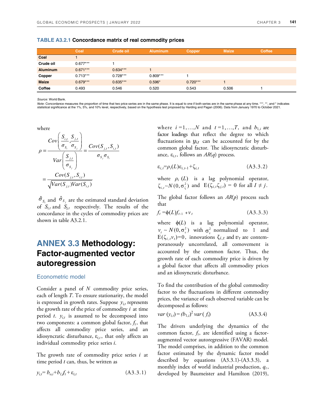|                 | Coal       | Crude oil  | <b>Aluminum</b> | <b>Copper</b> | <b>Maize</b> | <b>Coffee</b> |
|-----------------|------------|------------|-----------------|---------------|--------------|---------------|
| Coal            |            |            |                 |               |              |               |
| Crude oil       | $0.677***$ |            |                 |               |              |               |
| <b>Aluminum</b> | $0.671***$ | $0.634***$ |                 |               |              |               |
| Copper          | $0.713***$ | $0.728***$ | $0.809***$      |               |              |               |
| <b>Maize</b>    | $0.679***$ | $0.635***$ | $0.596*$        | $0.720***$    |              |               |
| Coffee          | 0.493      | 0.546      | 0.520           | 0.543         | 0.506        |               |

**TABLE A3.2.1 Concordance matrix of real commodity prices** 

*Source*: World Bank.

*Note*: Concordance measures the proportion of time that two price series are in the same phase. It is equal to one if both series are in the same phase at any time. \*\*\*, \*\*, and \* indicates statistical significance at the 1%, 5%, and 10% level, respectively, based on the hypothesis test proposed by Harding and Pagan (2006). Data from January 1970 to October 2021.

where  
\n
$$
\rho = \frac{Cov\left(\frac{S_{i,t}}{\sigma_{s_i}}, \frac{S_{j,t}}{\sigma_{s_j}}\right)}{Var\left(\frac{S_{j,t}}{\sigma_{s_j}}\right)} = \frac{Cov(S_{j,t}, S_{i,t})}{\sigma_{s_j}\sigma_{s_i}}
$$
\n
$$
= \frac{Cov(S_{j,t}, S_{i,t})}{\sqrt{Var(S_{j,t})Var(S_{i,t})}}
$$
\n
$$
\hat{\sigma}_{s} \text{ and } \hat{\sigma}_{s} \text{ are the estimated stand}
$$

 $\hat{\sigma}_{s_i}$  and  $\hat{\sigma}_{s_j}$  are the estimated standard deviation of  $S_{i,t}$  and  $S_{i,t}$  respectively. The results of the concordance in the cycles of commodity prices are shown in table A3.2.1.

# **ANNEX 3.3 Methodology: Factor-augmented vector autoregression**

# Econometric model

Consider a panel of *N* commodity price series, each of length *T*. To ensure stationarity, the model is expressed in growth rates. Suppose  $y_{i,t}$  represents the growth rate of the price of commodity *i* at time period  $t$ .  $y_{i,t}$  is assumed to be decomposed into two components: a common global factor,  $f_t$ , that affects all commodity price series, and an idiosyncratic disturbance,  $ε$ <sub>*i,t*</sub>, that only affects an individual commodity price series *i*.

The growth rate of commodity price series *i* at time period *t* can, thus, be written as

$$
y_{i,t} = b_{o,i} + b_{l,i}f_t + \varepsilon_{i,t}
$$
 (A3.3.1)

where  $i = 1, \ldots, N$  and  $t = 1, \ldots, T$ , and  $b_{1,i}$  are factor loadings that reflect the degree to which fluctuations in  $y_{i,t}$  can be accounted for by the common global factor. The idiosyncratic disturbance,  $\varepsilon_{i,t}$ , follows an  $AR(q)$  process.

$$
\varepsilon_{i,t} = \rho_i(L)\varepsilon_{i,t-1} + \zeta_{i,t} \tag{A3.3.2}
$$

where  $\rho_i$  (*L*) is a lag polynomial operator,  $\zeta_{i,t} \sim N(0, \sigma_{\zeta}^2)$  and  $E(\zeta_{i,t} \zeta_{j,t}) = 0$  for all  $I \neq j$ .

The global factor follows an *AR*(*p*) process such that

$$
f_t = \phi(L)f_{t-1} + v_t \tag{A3.3.3}
$$

where  $\phi(L)$  is a lag polynomial operator,  $v_t \sim N(0, \sigma_v^2)$  with  $\sigma_v^2$  normalized to 1 and  $E(\zeta_{i,t}v_t)=0$ , innovations  $\zeta_{i,t}$  and  $v_t$  are contemporaneously uncorrelated, all comovement is accounted by the common factor. Thus, the growth rate of each commodity price is driven by a global factor that affects all commodity prices and an idiosyncratic disturbance. *v*

To find the contribution of the global commodity factor to the fluctuations in different commodity prices, the variance of each observed variable can be decomposed as follows:

$$
var(y_{i,t}) = (b_{1,i})^2 var(f_t)
$$
 (A3.3.4)

The drivers underlying the dynamics of the common factor, *f<sup>t</sup>* , are identified using a factoraugmented vector autoregressive (FAVAR) model. The model comprises, in addition to the common factor estimated by the dynamic factor model described by equations (A3.3.1)-(A3.3.3), a monthly index of world industrial production,  $q_t$ , developed by Baumeister and Hamilton (2019),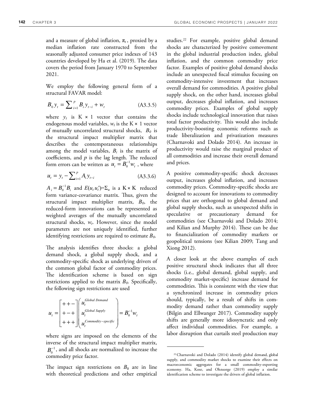and a measure of global inflation,  $\pi_t$ , proxied by a median inflation rate constructed from the seasonally adjusted consumer price indexes of 143 countries developed by Ha et al. (2019). The data covers the period from January 1970 to September 2021.

We employ the following general form of a structural FAVAR model:

$$
B_0 y_t = \sum_{i=1}^p B_i y_{t-i} + w_t
$$
 (A3.3.5)

where  $y_t$  is  $K \times 1$  vector that contains the endogenous model variables,  $w_t$  is the K  $\times$  1 vector of mutually uncorrelated structural shocks, *B<sup>0</sup>* is the structural impact multiplier matrix that describes the contemporaneous relationships among the model variables,  $B_i$  is the matrix of coefficients, and  $p$  is the lag length. The reduced form errors can be written as  $u_t = B_0^{-1} w_t$ , where  $u_t = B_0^{-1} w_t$ 

$$
u_{t} = y_{t} - \sum_{i=1}^{p} A_{i} y_{t-i}
$$
 (A3.3.6)

 $A_i = B_0^{-1}B_i$  and  $E(u_t u_t') = \sum_u$  is a  $K \times K$  reduced form variance-covariance matrix. Thus, given the structural impact multiplier matrix, *B0*, the reduced-form innovations can be represented as weighted averages of the mutually uncorrelated structural shocks, *w<sup>t</sup>* . However, since the model parameters are not uniquely identified, further identifying restrictions are required to estimate *B0*.

The analysis identifies three shocks: a global demand shock, a global supply shock, and a commodity-specific shock as underlying drivers of the common global factor of commodity prices. The identification scheme is based on sign restrictions applied to the matrix *B0*. Specifically, the following sign restrictions are used

$$
u_{t} = \begin{bmatrix} + & + & - \\ + & + & \cdots \\ + & + & \cdots \\ + & + & + \end{bmatrix} \begin{pmatrix} u_{t}^{Global\ Demand} \\ u_{t}^{Global\ Supply} \\ u_{t}^{Commodity-specific} \end{pmatrix} = B_{0}^{-1} w_{t}
$$

where signs are imposed on the elements of the inverse of the structural impact multiplier matrix,  $B_0^{-1}$ , and all shocks are normalized to increase the commodity price factor.

The impact sign restrictions on  $B_0$  are in line with theoretical predictions and other empirical studies.22 For example, positive global demand shocks are characterized by positive comovement in the global industrial production index, global inflation, and the common commodity price factor. Examples of positive global demand shocks include an unexpected fiscal stimulus focusing on commodity-intensive investment that increases overall demand for commodities. A positive global supply shock, on the other hand, increases global output, decreases global inflation, and increases commodity prices. Examples of global supply shocks include technological innovation that raises total factor productivity. This would also include productivity-boosting economic reforms such as trade liberalization and privatization measures (Charnavoki and Dolado 2014). An increase in productivity would raise the marginal product of all commodities and increase their overall demand and prices.

A positive commodity-specific shock decreases output, increases global inflation, and increases commodity prices. Commodity-specific shocks are designed to account for innovations to commodity prices that are orthogonal to global demand and global supply shocks, such as unexpected shifts in speculative or precautionary demand for commodities (see Charnavoki and Dolado 2014; and Kilian and Murphy 2014). These can be due to financialization of commodity markets or geopolitical tensions (see Kilian 2009; Tang and Xiong 2012).

A closer look at the above examples of each positive structural shock indicates that all three shocks (i.e., global demand, global supply, and commodity market-specific) increase demand for commodities. This is consistent with the view that a synchronized increase in commodity prices should, typically, be a result of shifts in commodity demand rather than commodity supply (Bilgin and Ellwanger 2017). Commodity supply shifts are generally more idiosyncratic and only affect individual commodities. For example, a labor disruption that curtails steel production may

<sup>22</sup>Charnavoki and Dolado (2014) identify global demand, global supply, and commodity market shocks to examine their effects on macroeconomic aggregates for a small commodity-exporting economy. Ha, Kose, and Ohnsorge (2019) employ a similar identification scheme to investigate the drivers of global inflation.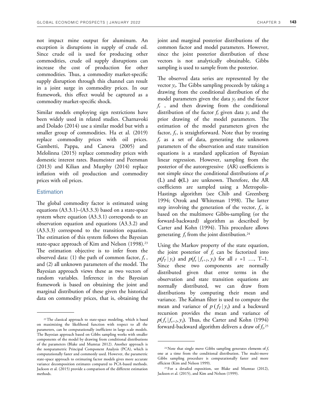not impact mine output for aluminum. An exception is disruptions in supply of crude oil. Since crude oil is used for producing other commodities, crude oil supply disruptions can increase the cost of production for other commodities. Thus, a commodity market-specific supply disruption through this channel can result in a joint surge in commodity prices. In our framework, this effect would be captured as a commodity market-specific shock.

Similar models employing sign restrictions have been widely used in related studies. Charnavoki and Dolado (2014) use a similar model but with a smaller group of commodities. Ha et al. (2019) replace commodity prices with oil prices. Gambetti, Pappa, and Canova (2005) and Melolinna (2015) replace commodity prices with domestic interest rates. Baumeister and Peersman (2013) and Kilian and Murphy (2014) replace inflation with oil production and commodity prices with oil prices.

# **Estimation**

The global commodity factor is estimated using equations  $(A3.3.1)$ – $(A3.3.3)$  based on a state-space system where equation (A3.3.1) corresponds to an observation equation and equations (A3.3.2) and (A3.3.3) correspond to the transition equation. The estimation of this system follows the Bayesian state-space approach of Kim and Nelson (1998).<sup>23</sup> The estimation objective is to infer from the observed data: (1) the path of common factor,  $f_t$ , and  $(2)$  all unknown parameters of the model. The Bayesian approach views these as two vectors of random variables. Inference in the Bayesian framework is based on obtaining the joint and marginal distribution of these given the historical data on commodity prices, that is, obtaining the

joint and marginal posterior distributions of the common factor and model parameters. However, since the joint posterior distribution of these vectors is not analytically obtainable, Gibbs sampling is used to sample from the posterior.

The observed data series are represented by the vector  $y_t$ . The Gibbs sampling proceeds by taking a drawing from the conditional distribution of the model parameters given the data  $y_t$  and the factor *ft* , and then drawing from the conditional distribution of the factor  $f_t$  given data  $y_t$  and the prior drawing of the model parameters. The estimation of the model parameters given the factor,  $f_t$ , is straightforward. Note that by treating *ft* as a set of data, generating the unknown parameters of the observation and state transition equations is a standard application of Bayesian linear regression. However, sampling from the posterior of the autoregressive (AR) coefficients is not simple since the conditional distributions of *ρ* (L) and  $\phi(L)$  are unknown. Therefore, the AR coefficients are sampled using a Metropolis-Hastings algorithm (see Chib and Greenberg 1994; Otrok and Whiteman 1998). The latter step involving the generation of the vector,  $f_t$ , is based on the multimove Gibbs-sampling (or the forward-backward) algorithm as described by Carter and Kohn (1994). This procedure allows generating  $f_t$  from the joint distribution.<sup>24</sup>

Using the Markov property of the state equation, the joint posterior of  $f_t$  can be factorized into  $p(f_T | y_t)$  and  $p(f_s | f_{s+1}, y_t)$  for all  $s = 1$  …, T–1. Since these two components are normally distributed given that error terms in the observation and state transition equations are normally distributed, we can draw from distributions by computing their mean and variance. The Kalman filter is used to compute the mean and variance of  $p(f_T|y_t)$  and a backward recursion provides the mean and variance of  $p(f_s|f_{s+1}, y_t)$ . Thus, the Carter and Kohn (1994) forward-backward algorithm delivers a draw of *f<sup>t</sup>* . 25

<sup>23</sup>The classical approach to state-space modeling, which is based on maximizing the likelihood function with respect to all the parameters, can be computationally inefficient in large scale models. The Bayesian approach based on Gibbs sampling works with smaller components of the model by drawing from conditional distributions of the parameters (Blake and Mumtaz 2012). Another approach is the nonparametric Principal Component Analysis (PCA), which is computationally faster and commonly used. However, the parametric state-space approach to estimating factor models gives more accurate variance decomposition estimates compared to PCA-based methods. Jackson et al. (2015) provide a comparison of the different estimation methods.

<sup>24</sup>Note that single move Gibbs sampling generates elements of *f<sup>t</sup>* one at a time from the conditional distribution. The multi-move Gibbs sampling procedure is computationally faster and more efficient (Kim and Nelson 1999).

<sup>25</sup>For a detailed exposition, see Blake and Mumtaz (2012), Jackson et al. (2015), and Kim and Nelson (1999).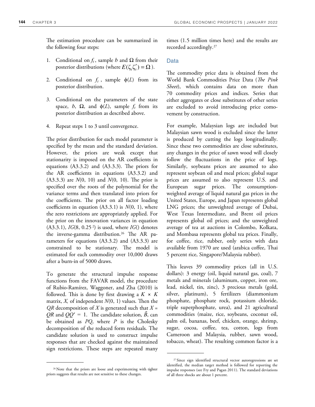The estimation procedure can be summarized in the following four steps:

- 1. Conditional on  $f_t$ , sample *b* and  $\Omega$  from their posterior distributions (where  $E(\zeta_i \zeta'_i) = \Omega$ ).
- 2. Conditional on  $f_t$ , sample  $\phi(L)$  from its posterior distribution.
- 3. Conditional on the parameters of the state space, *b*,  $\Omega$ , and  $\phi(L)$ , sample  $f_t$  from its posterior distribution as described above.
- 4. Repeat steps 1 to 3 until convergence.

The prior distribution for each model parameter is specified by the mean and the standard deviation. However, the priors are weak except that stationarity is imposed on the AR coefficients in equations  $(A3.3.2)$  and  $(A3.3.3)$ . The priors for the AR coefficients in equations (A3.3.2) and  $(A3.3.3)$  are  $N(0, 10)$  and  $N(0, 10)$ . The prior is specified over the roots of the polynomial for the variance terms and then translated into priors for the coefficients. The prior on all factor loading coefficients in equation (A3.3.1) is *N*(0, 1), where the zero restrictions are appropriately applied. For the prior on the innovation variances in equation (A3.3.1), *IG*(8, 0.25 2) is used, where *IG*() denotes the inverse-gamma distribution.<sup>26</sup> The AR parameters for equations (A3.3.2) and (A3.3.3) are constrained to be stationary. The model is estimated for each commodity over 10,000 draws after a burn-in of 5000 draws.

To generate the structural impulse response functions from the FAVAR model, the procedure of Rubio-Ramírez, Waggoner, and Zha (2010) is followed. This is done by first drawing a  $K \times K$ matrix,  $X$ , of independent  $N(0, 1)$  values. Then the *QR* decomposition of *X* is generated such that *X* =  $QR$  and  $QQ' = 1$ . The candidate solution,  $\ddot{B}$ , can be obtained as *PQ*, where *P* is the Cholesky decomposition of the reduced form residuals. The candidate solution is used to construct impulse responses that are checked against the maintained sign restrictions. These steps are repeated many

times (1.5 million times here) and the results are recorded accordingly.<sup>27</sup>

## Data

The commodity price data is obtained from the World Bank Commodities Price Data (*The Pink Sheet*), which contains data on more than 70 commodity prices and indices. Series that either aggregates or close substitutes of other series are excluded to avoid introducing price comovement by construction.

For example, Malaysian logs are included but Malaysian sawn wood is excluded since the latter is produced by cutting the logs longitudinally. Since these two commodities are close substitutes, any changes in the price of sawn wood will closely follow the fluctuations in the price of logs. Similarly, soybeans prices are assumed to also represent soybean oil and meal prices; global sugar prices are assumed to also represent U.S. and European sugar prices. The consumptionweighted average of liquid natural gas prices in the United States, Europe, and Japan represents global LNG prices; the unweighted average of Dubai, West Texas Intermediate, and Brent oil prices represents global oil prices; and the unweighted average of tea at auctions in Colombo, Kolkata, and Mombasa represents global tea prices. Finally, for coffee, rice, rubber, only series with data available from 1970 are used (arabica coffee, Thai 5 percent rice, Singapore/Malaysia rubber).

This leaves 39 commodity prices (all in U.S. dollars): 3 energy (oil, liquid natural gas, coal), 7 metals and minerals (aluminum, copper, iron ore, lead, nickel, tin, zinc), 3 precious metals (gold, silver, platinum), 5 fertilizers (diammonium phosphate, phosphate rock, potassium chloride, triple superphosphate, urea), and 21 agricultural commodities (maize, rice, soybeans, coconut oil, palm oil, bananas, beef, chicken, orange, shrimp, sugar, cocoa, coffee, tea, cotton, logs from Cameroon and Malaysia, rubber, sawn wood, tobacco, wheat). The resulting common factor is a

<sup>&</sup>lt;sup>26</sup>Note that the priors are loose and experimenting with tighter priors suggests that results are not sensitive to these changes.

<sup>27</sup>Since sign identified structural vector autoregressions are set identified, the median target method is followed for reporting the impulse responses (see Fry and Pagan 2011). The standard deviations of all three shocks are about 1 percent.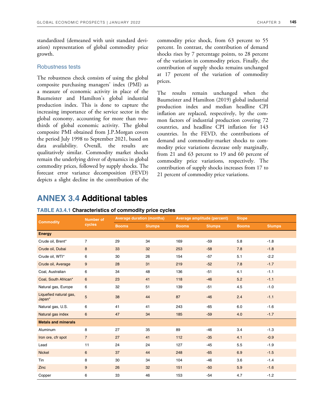standardized (demeaned with unit standard deviation) representation of global commodity price growth.

# Robustness tests

The robustness check consists of using the global composite purchasing managers' index (PMI) as a measure of economic activity in place of the Baumeister and Hamilton's global industrial production index. This is done to capture the increasing importance of the service sector in the global economy, accounting for more than twothirds of global economic activity. The global composite PMI obtained from J.P.Morgan covers the period July 1998 to September 2021, based on data availability. Overall, the results are qualitatively similar. Commodity market shocks remain the underlying driver of dynamics in global commodity prices, followed by supply shocks. The forecast error variance decomposition (FEVD) depicts a slight decline in the contribution of the

commodity price shock, from 63 percent to 55 percent. In contrast, the contribution of demand shocks rises by 7 percentage points, to 28 percent of the variation in commodity prices. Finally, the contribution of supply shocks remains unchanged at 17 percent of the variation of commodity prices.

The results remain unchanged when the Baumeister and Hamilton (2019) global industrial production index and median headline CPI inflation are replaced, respectively, by the common factors of industrial production covering 72 countries, and headline CPI inflation for 143 countries. In the FEVD, the contributions of demand and commodity-market shocks to commodity price variations decrease only marginally, from 21 and 63 percent to 19 and 60 percent of commodity price variations, respectively. The contribution of supply shocks increases from 17 to 21 percent of commodity price variations.

# **ANNEX 3.4 Additional tables**

| <b>Commodity</b>                 | <b>Number of</b><br>cycles | <b>Average duration (months)</b> |               | Average amplitude (percent) |               | <b>Slope</b> |               |
|----------------------------------|----------------------------|----------------------------------|---------------|-----------------------------|---------------|--------------|---------------|
|                                  |                            | <b>Booms</b>                     | <b>Slumps</b> | <b>Booms</b>                | <b>Slumps</b> | <b>Booms</b> | <b>Slumps</b> |
| <b>Energy</b>                    |                            |                                  |               |                             |               |              |               |
| Crude oil, Brent*                | $\overline{7}$             | 29                               | 34            | 169                         | $-59$         | 5.8          | $-1.8$        |
| Crude oil, Dubai                 | 8                          | 33                               | 32            | 253                         | $-58$         | 7.8          | $-1.8$        |
| Crude oil, WTI*                  | 6                          | 30                               | 26            | 154                         | $-57$         | 5.1          | $-2.2$        |
| Crude oil, Average               | 9                          | 28                               | 31            | 219                         | $-52$         | 7.8          | $-1.7$        |
| Coal, Australian                 | 6                          | 34                               | 48            | 136                         | $-51$         | 4.1          | $-1.1$        |
| Coal, South African*             | $6\phantom{1}$             | 23                               | 41            | 118                         | $-46$         | 5.2          | $-1.1$        |
| Natural gas, Europe              | 6                          | 32                               | 51            | 139                         | $-51$         | 4.5          | $-1.0$        |
| Liquefied natural gas,<br>Japan* | 5                          | 38                               | 44            | 87                          | $-46$         | 2.4          | $-1.1$        |
| Natural gas, U.S.                | 6                          | 41                               | 41            | 243                         | $-65$         | 6.0          | $-1.6$        |
| Natural gas index                | $6\phantom{1}$             | 47                               | 34            | 185                         | $-59$         | 4.0          | $-1.7$        |
| <b>Metals and minerals</b>       |                            |                                  |               |                             |               |              |               |
| Aluminum                         | 8                          | 27                               | 35            | 89                          | $-46$         | 3.4          | $-1.3$        |
| Iron ore, cfr spot               | $\overline{7}$             | 27                               | 41            | 112                         | $-35$         | 4.1          | $-0.9$        |
| Lead                             | 11                         | 24                               | 24            | 127                         | $-45$         | 5.5          | $-1.9$        |
| <b>Nickel</b>                    | 6                          | 37                               | 44            | 248                         | $-65$         | 6.9          | $-1.5$        |
| Tin                              | 8                          | 30                               | 34            | 104                         | $-46$         | 3.6          | $-1.4$        |
| Zinc                             | 9                          | 26                               | 32            | 151                         | $-50$         | 5.9          | $-1.6$        |
| Copper                           | 6                          | 33                               | 46            | 153                         | $-54$         | 4.7          | $-1.2$        |

# **TABLE A3.4.1 Characteristics of commodity price cycles**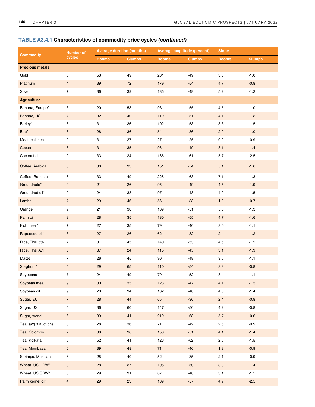|                        | <b>Number of</b><br>cycles | <b>Average duration (months)</b> |               | Average amplitude (percent) |               | <b>Slope</b> |               |
|------------------------|----------------------------|----------------------------------|---------------|-----------------------------|---------------|--------------|---------------|
| <b>Commodity</b>       |                            | <b>Booms</b>                     | <b>Slumps</b> | <b>Booms</b>                | <b>Slumps</b> | <b>Booms</b> | <b>Slumps</b> |
| <b>Precious metals</b> |                            |                                  |               |                             |               |              |               |
| Gold                   | 5                          | 53                               | 49            | 201                         | $-49$         | 3.8          | $-1.0$        |
| Platinum               | $\overline{4}$             | 39                               | 72            | 179                         | $-54$         | 4.7          | $-0.8$        |
| Silver                 | $\boldsymbol{7}$           | 36                               | 39            | 186                         | $-49$         | $5.2\,$      | $-1.2$        |
| <b>Agriculture</b>     |                            |                                  |               |                             |               |              |               |
| Banana, Europe*        | 3                          | 20                               | 53            | 93                          | $-55$         | 4.5          | $-1.0$        |
| Banana, US             | $\sqrt{7}$                 | 32                               | 40            | 119                         | $-51$         | 4.1          | $-1.3$        |
| Barley*                | 8                          | 31                               | 36            | 102                         | $-53$         | 3.3          | $-1.5$        |
| <b>Beef</b>            | $\bf 8$                    | 28                               | $36\,$        | 54                          | $-36$         | 2.0          | $-1.0$        |
| Meat, chicken          | 9                          | 31                               | 27            | 27                          | $-25$         | 0.9          | $-0.9$        |
| Cocoa                  | $\bf 8$                    | 31                               | 35            | 96                          | $-49$         | 3.1          | $-1.4$        |
| Coconut oil            | 9                          | 33                               | 24            | 185                         | $-61$         | $5.7\,$      | $-2.5$        |
| Coffee, Arabica        | $\bf 8$                    | $30\,$                           | 33            | 151                         | $-54$         | 5.1          | $-1.6$        |
| Coffee, Robusta        | 6                          | 33                               | 49            | 228                         | $-63$         | 7.1          | $-1.3$        |
| Groundnuts*            | $\boldsymbol{9}$           | 21                               | 26            | 95                          | $-49$         | 4.5          | $-1.9$        |
| Groundnut oil*         | 9                          | 24                               | 33            | 97                          | $-48$         | 4.0          | $-1.5$        |
| Lamb*                  | $\overline{7}$             | 29                               | 46            | 56                          | $-33$         | 1.9          | $-0.7$        |
| Orange                 | $\boldsymbol{9}$           | 21                               | 38            | 109                         | $-51$         | 5.6          | $-1.3$        |
| Palm oil               | $\bf 8$                    | 28                               | $35\,$        | 130                         | $-55$         | 4.7          | $-1.6$        |
| Fish meal*             | $\overline{7}$             | 27                               | 35            | 79                          | $-40$         | 3.0          | $-1.1$        |
| Rapeseed oil*          | $\ensuremath{\mathsf{3}}$  | 27                               | 26            | 62                          | $-32$         | 2.4          | $-1.2$        |
| Rice, Thai 5%          | $\boldsymbol{7}$           | 31                               | 45            | 140                         | $-53$         | 4.5          | $-1.2$        |
| Rice, Thai A.1*        | $\,6\,$                    | 37                               | 24            | 115                         | $-45$         | 3.1          | $-1.9$        |
| Maize                  | $\overline{7}$             | 26                               | 45            | $90\,$                      | $-48$         | $3.5\,$      | $-1.1$        |
| Sorghum*               | 5                          | 29                               | 65            | 110                         | $-54$         | 3.9          | $-0.8$        |
| Soybeans               | 7                          | 24                               | 49            | 79                          | $-52$         | 3.4          | $-1.1$        |
| Soybean meal           | $\boldsymbol{9}$           | 30 <sub>o</sub>                  | 35            | 123                         | $-47$         | 4.1          | $-1.3$        |
| Soybean oil            | $\boldsymbol{9}$           | 23                               | $34\,$        | 102                         | $-48$         | 4.6          | $-1.4$        |
| Sugar, EU              | $\overline{7}$             | 28                               | 44            | 65                          | $-36$         | 2.4          | $-0.8$        |
| Sugar, US              | $\mathbf 5$                | 36                               | 60            | 147                         | $-50$         | 4.2          | $-0.8$        |
| Sugar, world           | $\bf 6$                    | 39                               | 41            | 219                         | $-68$         | $5.7$        | $-0.6$        |
| Tea, avg 3 auctions    | 8                          | 28                               | 36            | 71                          | $-42$         | 2.6          | $-0.9$        |
| Tea, Colombo           | $\overline{7}$             | 38                               | 36            | 153                         | $-51$         | 4.1          | $-1.4$        |
| Tea, Kolkata           | $\mathbf 5$                | 52                               | 41            | 126                         | $-62$         | 2.5          | $-1.5$        |
| Tea, Mombasa           | $\boldsymbol{6}$           | $39\,$                           | 48            | $71$                        | $-46$         | 1.8          | $-0.9$        |
| Shrimps, Mexican       | $\bf 8$                    | 25                               | 40            | 52                          | $-35$         | 2.1          | $-0.9$        |
| Wheat, US HRW*         | $\bf 8$                    | 28                               | $37\,$        | 105                         | $-50$         | 3.8          | $-1.4$        |
| Wheat, US SRW*         | 8                          | 29                               | 31            | 87                          | $-48$         | 3.1          | $-1.5$        |
| Palm kernel oil*       | $\overline{4}$             | 29                               | $23\,$        | 139                         | $-57$         | 4.9          | $-2.5$        |

# **TABLE A3.4.1 Characteristics of commodity price cycles (continued)**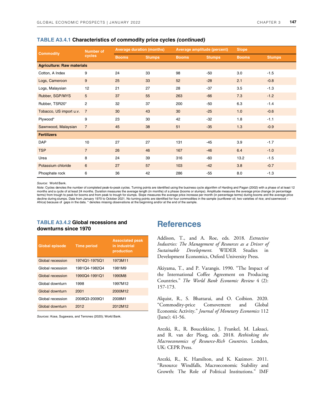|  | <b>TABLE A3.4.1 Characteristics of commodity price cycles (continued)</b> |  |  |  |
|--|---------------------------------------------------------------------------|--|--|--|
|--|---------------------------------------------------------------------------|--|--|--|

| <b>Commodity</b>                  | <b>Number of</b><br>cycles | <b>Average duration (months)</b> |               | Average amplitude (percent) |               | <b>Slope</b> |               |
|-----------------------------------|----------------------------|----------------------------------|---------------|-----------------------------|---------------|--------------|---------------|
|                                   |                            | <b>Booms</b>                     | <b>Slumps</b> | <b>Booms</b>                | <b>Slumps</b> | <b>Booms</b> | <b>Slumps</b> |
| <b>Agriculture: Raw materials</b> |                            |                                  |               |                             |               |              |               |
| Cotton, A Index                   | 9                          | 24                               | 33            | 98                          | $-50$         | 3.0          | $-1.5$        |
| Logs, Cameroon                    | 9                          | 25                               | 33            | 52                          | $-28$         | 2.1          | $-0.8$        |
| Logs, Malaysian                   | 12                         | 21                               | 27            | 28                          | $-37$         | 3.5          | $-1.3$        |
| Rubber, SGP/MYS                   | 5                          | 37                               | 55            | 263                         | $-66$         | 7.3          | $-1.2$        |
| Rubber, TSR20*                    | $\mathbf{2}$               | 32                               | 37            | 200                         | $-50$         | 6.3          | $-1.4$        |
| Tobacco, US import u.v.           | $\overline{7}$             | 30                               | 43            | 30                          | $-25$         | 1.0          | $-0.6$        |
| Plywood*                          | 9                          | 23                               | 30            | 42                          | $-32$         | 1.8          | $-1.1$        |
| Sawnwood, Malaysian               | $\overline{7}$             | 45                               | 38            | 51                          | $-35$         | 1.3          | $-0.9$        |
| <b>Fertilizers</b>                |                            |                                  |               |                             |               |              |               |
| <b>DAP</b>                        | 10                         | 27                               | 27            | 131                         | $-45$         | 3.9          | $-1.7$        |
| <b>TSP</b>                        | $\overline{7}$             | 26                               | 46            | 167                         | $-46$         | 6.4          | $-1.0$        |
| Urea                              | 8                          | 24                               | 39            | 316                         | $-60$         | 13.2         | $-1.5$        |
| Potassium chloride                | 6                          | 27                               | 57            | 103                         | $-42$         | 3.8          | $-0.7$        |
| Phosphate rock                    | 6                          | 36                               | 42            | 286                         | $-55$         | 8.0          | $-1.3$        |

*Source:* World Bank.

*Note*: Cycles denotes the number of completed peak-to-peak cycles. Turning points are identified using the business cycle algorithm of Harding and Pagan (2002) with a phase of at least 12 months and a cycle of at least 24 months. Duration measures the average length (in months) of a phase (booms or slumps). Amplitude measures the average price change (in percentage terms) from trough to peak for booms and from peak to trough for slumps. Slope measures the average price increase per month (in percentage terms) during booms and the average price decline during slumps. Data from January 1970 to October 2021. No turning points are identified for four commodities in the sample (sunflower oil; two varieties of rice; and sawnwood -Africa) because of gaps in the data. \* denotes missing observations at the beginning and/or at the end of the sample.

# **TABLE A3.4.2 Global recessions and downturns since 1970**

| <b>Global episode</b> | <b>Time period</b> | <b>Associated peak</b><br>in industrial<br>production |
|-----------------------|--------------------|-------------------------------------------------------|
| Global recession      | 1974Q1-1975Q1      | 1973M11                                               |
| Global recession      | 1981Q4-1982Q4      | 1981M9                                                |
| Global recession      | 1990Q4-1991Q1      | 1990M8                                                |
| Global downturn       | 1998               | 1997M12                                               |
| Global downturn       | 2001               | 2000M12                                               |
| Global recession      | 2008Q3-2009Q1      | 2008M1                                                |
| Global downturn       | 2012               | 2012M12                                               |

*Sources*: Kose, Sugawara, and Terrones (2020); World Bank.

# **References**

Addison, T., and A. Roe, eds. 2018. *Extractive Industries: The Management of Resources as a Driver of Sustainable Development*. WIDER Studies in Development Economics, Oxford University Press.

Akiyama, T., and P. Varangis. 1990. "The Impact of the International Coffee Agreement on Producing Countries." *The World Bank Economic Review* 4 (2): 157-173.

Alquist, R., S. Bhattarai, and O. Coibion. 2020. "Commodity-price Comovement and Global Economic Activity." *Journal of Monetary Economics* 112 (June): 41-56.

Arezki, R., R. Boucekkine, J. Frankel, M. Laksaci, and R. van der Ploeg, eds. 2018. *Rethinking the Macroeconomics of Resource-Rich Countries*. London, UK: CEPR Press.

Arezki, R., K. Hamilton, and K. Kazimov. 2011. "Resource Windfalls, Macroeconomic Stability and Growth: The Role of Political Institutions." IMF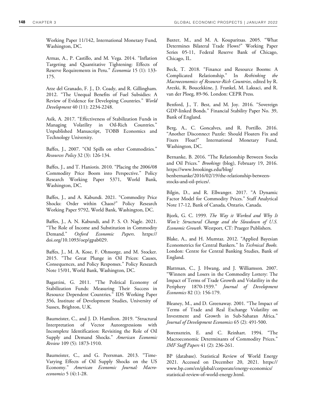Working Paper 11/142, International Monetary Fund, Washington, DC.

Armas, A., P. Castillo, and M. Vega. 2014. "Inflation Targeting and Quantitative Tightening: Effects of Reserve Requirements in Peru." *Economia* 15 (1): 133- 175.

Arze del Granado, F. J., D. Coady, and R. Gillingham. 2012. "The Unequal Benefits of Fuel Subsidies: A Review of Evidence for Developing Countries." *World Development* 40 (11): 2234-2248.

Asik, A. 2017. "Effectiveness of Stabilization Funds in Managing Volatility in Oil-Rich Countries." Unpublished Manuscript, TOBB Economics and Technology University.

Baffes, J., 2007. "Oil Spills on other Commodities." *Resources Policy* 32 (3): 126-134.

Baffes, J., and T. Haniotis. 2010. "Placing the 2006/08 Commodity Price Boom into Perspective." Policy Research Working Paper 5371, World Bank, Washington, DC.

Baffes, J., and A. Kabundi. 2021. "Commodity Price Shocks: Order within Chaos?" Policy Research Working Paper 9792, World Bank, Washington, DC.

Baffes, J., A. N. Kabundi, and P. S. O. Nagle. 2021. "The Role of Income and Substitution in Commodity Demand." *Oxford Economic Papers*. https:// doi.org/10.1093/oep/gpab029.

Baffes, J., M. A. Kose, F. Ohnsorge, and M. Stocker. 2015. "The Great Plunge in Oil Prices: Causes, Consequences, and Policy Responses." Policy Research Note 15/01, World Bank, Washington, DC.

Bagattini, G. 2011. "The Political Economy of Stabilization Funds: Measuring Their Success in Resource Dependent Countries." IDS Working Paper 356, Institute of Development Studies, University of Sussex, Brighton, U.K.

Baumeister, C., and J. D. Hamilton. 2019. "Structural Interpretation of Vector Autoregressions with Incomplete Identification: Revisiting the Role of Oil Supply and Demand Shocks." *American Economic Review* 109 (5): 1873-1910.

Baumeister, C., and G. Peersman. 2013. "Time-Varying Effects of Oil Supply Shocks on the US Economy." *American Economic Journal: Macroeconomics* 5 (4):1-28.

Baxter, M., and M. A. Kouparitsas. 2005. "What Determines Bilateral Trade Flows?" Working Paper Series 05-11, Federal Reserve Bank of Chicago, Chicago, IL.

Beck, T. 2018. "Finance and Resource Booms: A Complicated Relationship." In *Rethinking the Macroeconomics of Resource-Rich Countries*, edited by R. Arezki, R. Boucekkine, J. Frankel, M. Laksaci, and R. van der Ploeg, 89-96. London: CEPR Press.

Benford, J., T. Best, and M. Joy. 2016. "Sovereign GDP-linked Bonds." Financial Stability Paper No. 39, Bank of England.

Berg, A., C. Goncalves, and R. Portillo. 2016. "Another Disconnect Puzzle: Should Floaters Fix and Fixers Float?" International Monetary Fund, Washington, DC.

Bernanke, B. 2016. "The Relationship Between Stocks and Oil Prices." *Brookings* (blog), February 19, 2016. https://www.brookings.edu/blog/ benbernanke/2016/02/19/the-relationship-betweenstocks-and-oil-prices/.

Bilgin, D., and R. Ellwanger. 2017. "A Dynamic Factor Model for Commodity Prices." Staff Analytical Note 17-12, Bank of Canada, Ontario, Canada.

Bjork, G. C. 1999. *The Way it Worked and Why It Won't: Structural Change and the Slowdown of U.S. Economic Growth*. Westport, CT: Praeger Publishers.

Blake, A., and H. Mumtaz. 2012. "Applied Bayesian Econometrics for Central Bankers." In *Technical Books.*  London: Centre for Central Banking Studies, Bank of England.

Blattman, C., J. Hwang, and J. Williamson. 2007. "Winners and Losers in the Commodity Lottery: The Impact of Terms of Trade Growth and Volatility in the Periphery 1870-1939." *Journal of Development Economics* 82 (1): 156-179.

Bleaney, M., and D. Greenaway. 2001. "The Impact of Terms of Trade and Real Exchange Volatility on Investment and Growth in Sub-Saharan Africa." *Journal of Development Economics* 65 (2): 491-500.

Borensztein, E. and C. Reinhart. 1994. "The Macroeconomic Determinants of Commodity Prices." *IMF Staff Papers* 41 (2): 236-261.

BP (database). Statistical Review of World Energy 2021. Accessed on December 20, 2021. https:// www.bp.com/en/global/corporate/energy-economics/ statistical-review-of-world-energy.html.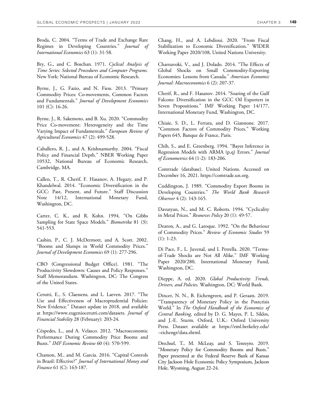Broda, C. 2004. "Terms of Trade and Exchange Rate Regimes in Developing Countries." *Journal of International Economics* 63 (1): 31-58.

Bry, G., and C. Boschan. 1971. *Cyclical Analysis of Time Series: Selected Procedures and Computer Programs.* New York: National Bureau of Economic Research.

Byrne, J., G. Fazio, and N. Fiess. 2013. "Primary Commodity Prices: Co-movements, Common Factors and Fundamentals." *Journal of Development Economics*  101 (C): 16-26.

Byrne, J., R. Sakemoto, and B. Xu. 2020. "Commodity Price Co-movement: Heterogeneity and the Time Varying Impact of Fundamentals." *European Review of Agricultural Economics* 47 (2): 499-528.

Caballero, R. J., and A. Krishnamurthy. 2004. "Fiscal Policy and Financial Depth." NBER Working Paper 10532, National Bureau of Economic Research, Cambridge, MA.

Callen, T., R. Cherif, F. Hasanov, A. Hegazy, and P. Khandelwal. 2014. "Economic Diversification in the GCC: Past, Present, and Future." Staff Discussion Note 14/12, International Monetary Fund, Washington, DC.

Carter, C. K., and R. Kohn. 1994. "On Gibbs Sampling for State Space Models." *Biometrika* 81 (3): 541-553.

Cashin, P., C. J. McDermott, and A. Scott. 2002. "Booms and Slumps in World Commodity Prices." *Journal of Development Economics* 69 (1): 277-296.

CBO (Congressional Budget Office). 1981. "The Productivity Slowdown: Causes and Policy Responses." Staff Memorandum. Washington, DC: The Congress of the United States.

Cerutti, E., S. Claessens, and L. Laeven. 2017. "The Use and Effectiveness of Macroprudential Policies: New Evidence." Dataset update in 2018, and available at https://www.eugeniocerutti.com/datasets. *Journal of Financial Stability* 28 (February): 203-24.

Céspedes, L., and A. Velasco. 2012. "Macroeconomic Performance During Commodity Price Booms and Busts." *IMF Economic Review* 60 (4): 570-599.

Chamon, M., and M. Garcia. 2016. "Capital Controls in Brazil: Effective?" *Journal of International Money and Finance* 61 (C): 163-187.

Chang, H., and A. Lebdioui. 2020. "From Fiscal Stabilization to Economic Diversification." WIDER Working Paper 2020/108, United Nations University.

Charnavoki, V., and J. Dolado. 2014. "The Effects of Global Shocks on Small Commodity-Exporting Economies: Lessons from Canada." *American Economic Journal: Macroeconomics* 6 (2): 207-37.

Cherif, R., and F. Hasanov. 2014. "Soaring of the Gulf Falcons: Diversification in the GCC Oil Exporters in Seven Propositions." IMF Working Paper 14/177, International Monetary Fund, Washington, DC.

Chiaie, S. D., L. Ferrara, and D. Giannone. 2017. "Common Factors of Commodity Prices." Working Papers 645, Banque de France, Paris.

Chib, S., and E. Greenberg. 1994. "Bayes Inference in Regression Models with ARMA (p,q) Errors." *Journal of Econometrics* 64 (1-2): 183-206.

Comtrade (database). United Nations. Accessed on December 16, 2021. https://comtrade.un.org.

Cuddington, J. 1989. "Commodity Export Booms in Developing Countries." *The World Bank Research Observer* 4 (2): 143-165.

Davutyan, N., and M. C. Roberts. 1994. "Cyclicality in Metal Prices." *Resources Policy* 20 (1): 49-57.

Deaton, A., and G. Laroque. 1992. "On the Behaviour of Commodity Prices." *Review of Economic Studies* 59 (1): 1-23.

Di Pace, F., L. Juvenal, and I. Petrella. 2020. "Termsof-Trade Shocks are Not All Alike." IMF Working Paper 2020/280, International Monetary Fund, Washington, DC.

Dieppe, A. ed. 2020. *Global Productivity: Trends, Drivers, and Policies*. Washington, DC: World Bank.

Dincer, N. N., B. Eichengreen, and P. Geraats. 2019. "Transparency of Monetary Policy in the Postcrisis World." In *The Oxford Handbook of the Economics of Central Banking*, edited by D. G. Mayes, P. L. Siklos, and J.-E. Sturm. Oxford, U.K.: Oxford University Press. Dataset available at https://eml.berkeley.edu/ ~eichengr/data.shtml.

Drechsel, T., M. McLeay, and S. Tenreyro. 2019. "Monetary Policy for Commodity Booms and Busts." Paper presented at the Federal Reserve Bank of Kansas City Jackson Hole Economic Policy Symposium, Jackson Hole, Wyoming, August 22-24.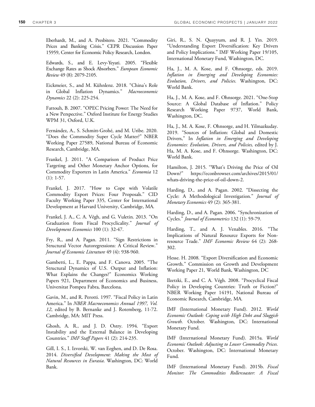Eberhardt, M., and A. Presbitero. 2021. "Commodity Prices and Banking Crisis." CEPR Discussion Paper 15959, Center for Economic Policy Research, London.

Edwards, S., and E. Levy-Yeyati. 2005. "Flexible Exchange Rates as Shock Absorbers." *European Economic Review* 49 (8): 2079-2105.

Eickmeier, S., and M. Kühnlenz. 2018. "China's Role in Global Inflation Dynamics." *Macroeconomic Dynamics* 22 (2): 225-254.

Fattouh, B. 2007. "OPEC Pricing Power: The Need for a New Perspective." Oxford Institute for Energy Studies WPM 31, Oxford, U.K.

Fernández, A., S. Schmitt-Grohé, and M. Uribe. 2020. "Does the Commodity Super Cycle Matter?" NBER Working Paper 27589, National Bureau of Economic Research, Cambridge, MA.

Frankel, J. 2011. "A Comparison of Product Price Targeting and Other Monetary Anchor Options, for Commodity Exporters in Latin America." *Economia* 12 (1): 1-57.

Frankel, J. 2017. "How to Cope with Volatile Commodity Export Prices: Four Proposals." CID Faculty Working Paper 335, Center for International Development at Harvard University, Cambridge, MA.

Frankel, J. A., C. A. Végh, and G. Vuletin. 2013. "On Graduation from Fiscal Procyclicality." *Journal of Development Economics* 100 (1): 32-47.

Fry, R., and A. Pagan. 2011. "Sign Restrictions in Structural Vector Autoregressions: A Critical Review." *Journal of Economic Literature* 49 (4): 938-960.

Gambetti, L., E. Pappa, and F. Canova. 2005. "The Structural Dynamics of U.S. Output and Inflation: What Explains the Changes?" Economics Working Papers 921, Department of Economics and Business, Universitat Pompeu Fabra, Barcelona.

Gavin, M., and R. Perotti. 1997. "Fiscal Policy in Latin America." In *NBER Macroeconomics Annual 1997, Vol. 12*, edited by B. Bernanke and J. Rotemberg, 11-72. Cambridge, MA: MIT Press.

Ghosh, A. R., and J. D. Ostry. 1994. "Export Instability and the External Balance in Developing Countries." *IMF Staff Papers* 41 (2): 214-235.

Gill, I. S., I. Izvorski, W. van Eeghen, and D. De Rosa. 2014. *Diversified Development: Making the Most of Natural Resources in Eurasia*. Washington, DC: World Bank.

Giri, R., S. N. Quayyum, and R. J. Yin. 2019. "Understanding Export Diversification: Key Drivers and Policy Implications." IMF Working Paper 19/105, International Monetary Fund, Washington, DC.

Ha, J., M. A. Kose, and F. Ohnsorge, eds. 2019. *Inflation in Emerging and Developing Economies: Evolution, Drivers, and Policies*. Washington, DC: World Bank.

Ha, J., M. A. Kose, and F. Ohnsorge. 2021. "One-Stop Source: A Global Database of Inflation." Policy Research Working Paper 9737, World Bank, Washington, DC.

Ha, J., M. A. Kose, F. Ohnsorge, and H. Yilmazkuday. 2019. "Sources of Inflation: Global and Domestic Drivers," In *Inflation in Emerging and Developing Economies: Evolution, Drivers, and Policies,* edited by J. Ha, M. A. Kose, and F. Ohnsorge. Washington, DC: World Bank.

Hamilton, J. 2015. "What's Driving the Price of Oil Down?" https://econbrowser.com/archives/2015/01/ whats-driving-the-price-of-oil-down-2.

Harding, D., and A. Pagan. 2002. "Dissecting the Cycle: A Methodological Investigation." *Journal of Monetary Economics* 49 (2): 365-381.

Harding, D., and A. Pagan. 2006. "Synchronization of Cycles." *Journal of Econometrics* 132 (1): 59-79.

Harding, T., and A. J. Venables. 2016. "The Implications of Natural Resource Exports for Nonresource Trade." *IMF Economic Review* 64 (2): 268- 302.

Hesse. H. 2008. "Export Diversification and Economic Growth." Commission on Growth and Development Working Paper 21, World Bank, Washington, DC

Ilzetzki, E., and C. A. Végh. 2008. "Procyclical Fiscal Policy in Developing Countries: Truth or Fiction?" NBER Working Paper 14191, National Bureau of Economic Research, Cambridge, MA.

IMF (International Monetary Fund). 2012. *World Economic Outlook: Coping with High Debt and Sluggish Growth.* October. Washington, DC: International Monetary Fund.

IMF (International Monetary Fund). 2015a. *World Economic Outlook: Adjusting to Lower Commodity Prices.* October. Washington, DC: International Monetary Fund.

IMF (International Monetary Fund). 2015b. *Fiscal Monitor: The Commodities Rollercoaster: A Fiscal*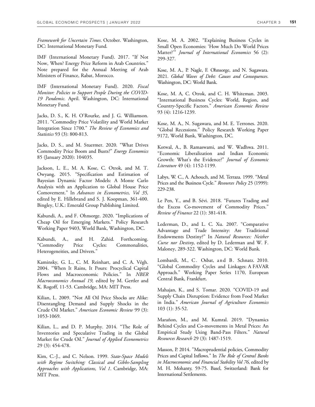*Framework for Uncertain Times*. October. Washington, DC: International Monetary Fund.

IMF (International Monetary Fund). 2017. "If Not Now, When? Energy Price Reform in Arab Countries." Note prepared for the Annual Meeting of Arab Ministers of Finance, Rabat, Morocco.

IMF (International Monetary Fund). 2020. *Fiscal Monitor: Policies to Support People During the COVID-19 Pandemic*. April. Washington, DC: International Monetary Fund.

Jacks, D. S., K. H. O'Rourke, and J. G. Williamson. 2011. "Commodity Price Volatility and World Market Integration Since 1700." *The Review of Economics and Statistics* 93 (3): 800-813.

Jacks, D. S., and M. Stuermer. 2020. "What Drives Commodity Price Boom and Busts?" *Energy Economics* 85 (January 2020): 104035.

Jackson, L. E., M. A. Kose, C. Otrok, and M. T. Owyang. 2015. "Specification and Estimation of Bayesian Dynamic Factor Models: A Monte Carlo Analysis with an Application to Global House Price Comovement." In *Advances in Econometrics, Vol 35,*  edited by E. Hillebrand and S. J. Koopman, 361-400. Bingley, U.K.: Emerald Group Publishing Limited.

Kabundi, A., and F. Ohnsorge. 2020. "Implications of Cheap Oil for Emerging Markets." Policy Research Working Paper 9403, World Bank, Washington, DC.

Kabundi, A., and H. Zahid. Forthcoming. "Commodity Price Cycles: Commonalities, Heterogeneities, and Drivers."

Kaminsky, G. L., C. M. Reinhart, and C. A. Végh. 2004. "When It Rains, It Pours: Procyclical Capital Flows and Macroeconomic Policies." In *NBER Macroeconomics Annual 19,* edited by M. Gertler and K. Rogoff, 11-53. Cambridge, MA: MIT Press.

Kilian, L. 2009. "Not All Oil Price Shocks are Alike: Disentangling Demand and Supply Shocks in the Crude Oil Market." *American Economic Review* 99 (3): 1053-1069.

Kilian, L., and D. P. Murphy. 2014. "The Role of Inventories and Speculative Trading in the Global Market for Crude Oil." *Journal of Applied Econometrics*  29 (3): 454-478.

Kim, C.-J., and C. Nelson. 1999. *State-Space Models with Regime Switching: Classical and Gibbs-Sampling Approaches with Applications, Vol 1*. Cambridge, MA: MIT Press.

Kose, M. A. 2002. "Explaining Business Cycles in Small Open Economies: 'How Much Do World Prices Matter?'" *Journal of International Economics* 56 (2): 299-327.

Kose, M. A., P. Nagle, F. Ohnsorge, and N. Sugawara. 2021. *Global Waves of Debt: Causes and Consequences*. Washington, DC: World Bank.

Kose, M. A, C. Otrok, and C. H. Whiteman. 2003. "International Business Cycles: World, Region, and Country-Specific Factors." *American Economic Review*  93 (4): 1216-1239.

Kose, M. A., N. Sugawara, and M. E. Terrones. 2020. "Global Recessions." Policy Research Working Paper 9172, World Bank, Washington, DC.

Kotwal, A., B. Ramaswami, and W. Wadhwa. 2011. "Economic Liberalization and Indian Economic Growth: What's the Evidence?" *Journal of Economic Literature* 49 (4): 1152-1199.

Labys, W. C., A. Achouch, and M. Terraza. 1999. "Metal Prices and the Business Cycle." *Resources Policy* 25 (1999): 229-238.

Le Pen, Y., and B. Sévi. 2018. "Futures Trading and the Excess Co-movement of Commodity Prices." *Review of Finance* 22 (1): 381-418.

Lederman, D., and L. C. Xu. 2007. "Comparative Advantage and Trade Intensity: Are Traditional Endowments Destiny?" In *Natural Resources: Neither Curse nor Destiny*, edited by D. Lederman and W. F. Maloney, 289-322. Washington, DC: World Bank.

Lombardi, M., C. Osbat, and B. Schnatz. 2010. "Global Commodity Cycles and Linkages: A FAVAR Approach." Working Paper Series 1170, European Central Bank, Frankfurt.

Mahajan, K., and S. Tomar. 2020. "COVID-19 and Supply Chain Disruption: Evidence from Food Market in India." *American Journal of Agriculture Economics* 103 (1): 35-52.

Marañon, M., and M. Kumral. 2019. "Dynamics Behind Cycles and Co-movements in Metal Prices: An Empirical Study Using Band-Pass Filters." *Natural Resources Research* 29 (3): 1487-1519.

Masson, P. 2014. "Macroprudential policies, Commodity Prices and Capital Inflows." In *The Role of Central Banks in Macroeconomic and Financial Stability Vol 76*, edited by M. H. Mohanty, 59-75. Basel, Switzerland: Bank for International Settlements.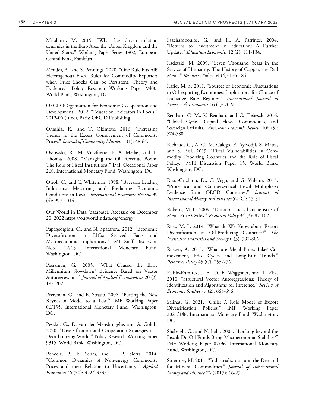Melolinna, M. 2015. "What has driven inflation dynamics in the Euro Area, the United Kingdom and the United States." Working Paper Series 1802, European Central Bank, Frankfurt.

Mendes, A., and S. Pennings. 2020. "One Rule Fits All? Heterogenous Fiscal Rules for Commodity Exporters when Price Shocks Can be Persistent: Theory and Evidence." Policy Research Working Paper 9400, World Bank, Washington, DC.

OECD (Organisation for Economic Co-operation and Development). 2012. "Education Indicators in Focus." 2012-06 (June), Paris: OEC D Publishing.

Ohashia, K., and T. Okimoto. 2016. "Increasing Trends in the Excess Comovement of Commodity Prices." *Journal of Commodity Markets* 1 (1): 48-64.

Ossowski, R., M. Villafuerte, P. A. Medas, and T. Thomas. 2008. "Managing the Oil Revenue Boom: The Role of Fiscal Institutions." IMF Occasional Paper 260, International Monetary Fund, Washington, DC.

Otrok, C., and C. Whiteman. 1998. "Bayesian Leading Indicators: Measuring and Predicting Economic Conditions in Iowa." *International Economic Review* 39 (4): 997-1014.

Our World in Data (database). Accessed on December 20, 2022 https://ourworldindata.org/energy.

Papageorgiou, C., and N. Spatafora. 2012. "Economic Diversification in LICs: Stylized Facts and Macroeconomic Implications." IMF Staff Discussion Note 12/13, International Monetary Fund, Washington, DC.

Peersman, G., 2005. "What Caused the Early Millennium Slowdown? Evidence Based on Vector Autoregressions." *Journal of Applied Econometrics* 20 (2): 185-207.

Peersman, G., and R. Straub. 2006. "Putting the New Keynesian Model to a Test." IMF Working Paper 06/135, International Monetary Fund, Washington, DC.

Peszko, G., D. van der Mensbrugghe, and A. Golub. 2020. "Diversification and Cooperation Strategies in a Decarbonizing World." Policy Research Working Paper 9315, World Bank, Washington, DC.

Poncela, P., E. Senra, and L. P. Sierra. 2014. "Common Dynamics of Non-energy Commodity Prices and their Relation to Uncertainty." *Applied Economics* 46 (30): 3724-3735.

Psacharopoulos, G., and H. A. Patrinos. 2004. "Returns to Investment in Education: A Further Update." *Education Economics* 12 (2): 111-134.

Radetzki, M. 2009. "Seven Thousand Years in the Service of Humanity: The History of Copper, the Red Metal." *Resources Policy* 34 (4): 176-184.

Rafiq, M. S. 2011. "Sources of Economic Fluctuations in Oil-exporting Economies: Implications for Choice of Exchange Rate Regimes." *International Journal of Finance & Economics* 16 (1): 70-91.

Reinhart, C. M., V. Reinhart, and C. Trebesch. 2016. "Global Cycles: Capital Flows, Commodities, and Sovereign Defaults." *American Economic Review* 106 (5): 574-580.

Richaud, C., A. G. M. Galego, F. Ayivodji, S. Matta, and S. Essl. 2019. "Fiscal Vulnerabilities in Commodity Exporting Countries and the Role of Fiscal Policy." MTI Discussion Paper 15, World Bank, Washington, DC.

Riera-Crichton, D., C. Végh, and G. Vuletin. 2015. "Procyclical and Countercyclical Fiscal Multipliers: Evidence from OECD Countries." *Journal of International Money and Finance* 52 (C): 15-31.

Roberts, M. C. 2009. "Duration and Characteristics of Metal Price Cycles." *Resources Policy* 34 (3): 87-102.

Ross, M. L. 2019. "What do We Know about Export Diversification in Oil-Producing Countries?" *The Extractive Industries and Society* 6 (3): 792-806.

Rossen, A. 2015. "What are Metal Prices Like? Comovement, Price Cycles and Long-Run Trends." *Resources Policy* 45 (C): 255-276.

Rubio-Ramírez, J. F., D. F. Waggoner, and T. Zha. 2010. "Structural Vector Autoregressions: Theory of Identification and Algorithms for Inference." *Review of Economic Studies* 77 (2): 665-696.

Salinas, G. 2021. "Chile: A Role Model of Export Diversification Policies." IMF Working Paper 2021/148, International Monetary Fund, Washington, DC.

Shabsigh, G., and N. Ilahi. 2007. "Looking beyond the Fiscal: Do Oil Funds Bring Macroeconomic Stability?" IMF Working Paper 07/96, International Monetary Fund, Washington, DC.

Stuermer, M. 2017. "Industrialization and the Demand for Mineral Commodities." *Journal of International Money and Finance* 76 (2017): 16-27.